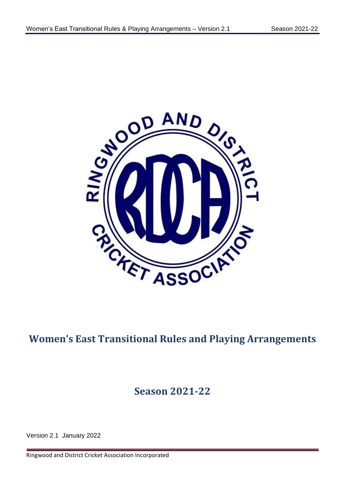

# **Women's East Transitional Rules and Playing Arrangements**

# **Season 2021-22**

Version 2.1 January 2022

Ringwood and District Cricket Association Incorporated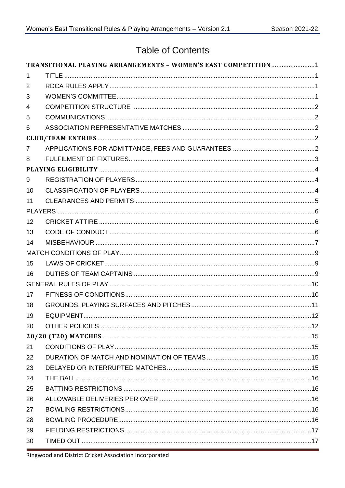# **Table of Contents**

| 1<br>2<br>3<br>5<br>6<br>7<br>8<br>9<br>10<br>11<br>12<br>13<br>14<br>15<br>16<br>17<br>18<br>19<br>20<br>21<br>22<br>23<br>24<br>25<br>26<br>27<br>28<br>29<br>30 |                | TRANSITIONAL PLAYING ARRANGEMENTS - WOMEN'S EAST COMPETITION1 |  |
|--------------------------------------------------------------------------------------------------------------------------------------------------------------------|----------------|---------------------------------------------------------------|--|
|                                                                                                                                                                    |                |                                                               |  |
|                                                                                                                                                                    |                |                                                               |  |
|                                                                                                                                                                    |                |                                                               |  |
|                                                                                                                                                                    | $\overline{4}$ |                                                               |  |
|                                                                                                                                                                    |                |                                                               |  |
|                                                                                                                                                                    |                |                                                               |  |
|                                                                                                                                                                    |                |                                                               |  |
|                                                                                                                                                                    |                |                                                               |  |
|                                                                                                                                                                    |                |                                                               |  |
|                                                                                                                                                                    |                |                                                               |  |
|                                                                                                                                                                    |                |                                                               |  |
|                                                                                                                                                                    |                |                                                               |  |
|                                                                                                                                                                    |                |                                                               |  |
|                                                                                                                                                                    |                |                                                               |  |
|                                                                                                                                                                    |                |                                                               |  |
|                                                                                                                                                                    |                |                                                               |  |
|                                                                                                                                                                    |                |                                                               |  |
|                                                                                                                                                                    |                |                                                               |  |
|                                                                                                                                                                    |                |                                                               |  |
|                                                                                                                                                                    |                |                                                               |  |
|                                                                                                                                                                    |                |                                                               |  |
|                                                                                                                                                                    |                |                                                               |  |
|                                                                                                                                                                    |                |                                                               |  |
|                                                                                                                                                                    |                |                                                               |  |
|                                                                                                                                                                    |                |                                                               |  |
|                                                                                                                                                                    |                |                                                               |  |
|                                                                                                                                                                    |                |                                                               |  |
|                                                                                                                                                                    |                |                                                               |  |
|                                                                                                                                                                    |                |                                                               |  |
|                                                                                                                                                                    |                |                                                               |  |
|                                                                                                                                                                    |                |                                                               |  |
|                                                                                                                                                                    |                |                                                               |  |
|                                                                                                                                                                    |                |                                                               |  |
|                                                                                                                                                                    |                |                                                               |  |
|                                                                                                                                                                    |                |                                                               |  |
|                                                                                                                                                                    |                |                                                               |  |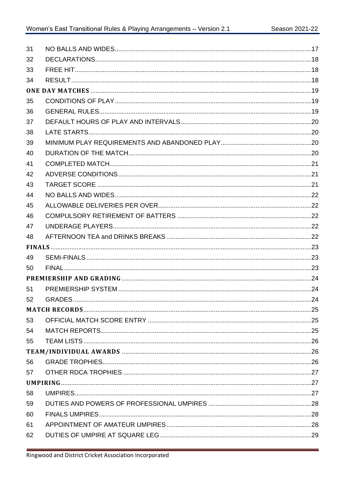| 31 |  |
|----|--|
| 32 |  |
| 33 |  |
| 34 |  |
|    |  |
| 35 |  |
| 36 |  |
| 37 |  |
| 38 |  |
| 39 |  |
| 40 |  |
| 41 |  |
| 42 |  |
| 43 |  |
| 44 |  |
| 45 |  |
| 46 |  |
| 47 |  |
| 48 |  |
|    |  |
| 49 |  |
| 50 |  |
|    |  |
| 51 |  |
| 52 |  |
|    |  |
| 53 |  |
| 54 |  |
| 55 |  |
|    |  |
| 56 |  |
| 57 |  |
|    |  |
| 58 |  |
| 59 |  |
| 60 |  |
| 61 |  |
| 62 |  |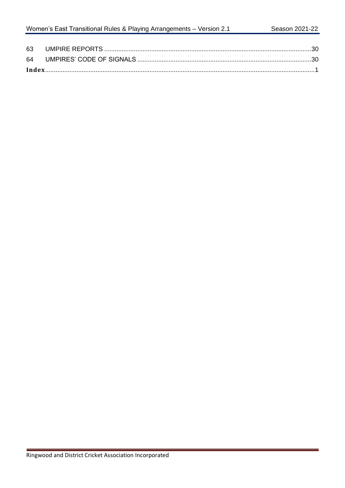| 63 |  |
|----|--|
| 64 |  |
|    |  |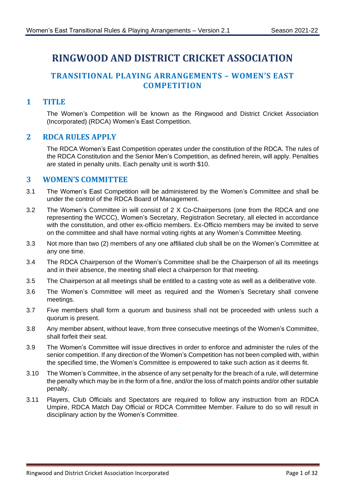# **RINGWOOD AND DISTRICT CRICKET ASSOCIATION**

# <span id="page-4-0"></span>**TRANSITIONAL PLAYING ARRANGEMENTS – WOMEN'S EAST COMPETITION**

## <span id="page-4-1"></span>**1 TITLE**

The Women's Competition will be known as the Ringwood and District Cricket Association (Incorporated) (RDCA) Women's East Competition.

#### <span id="page-4-2"></span>**2 RDCA RULES APPLY**

The RDCA Women's East Competition operates under the constitution of the RDCA. The rules of the RDCA Constitution and the Senior Men's Competition, as defined herein, will apply. Penalties are stated in penalty units. Each penalty unit is worth \$10.

#### <span id="page-4-3"></span>**3 WOMEN'S COMMITTEE**

- 3.1 The Women's East Competition will be administered by the Women's Committee and shall be under the control of the RDCA Board of Management.
- 3.2 The Women's Committee in will consist of 2 X Co-Chairpersons (one from the RDCA and one representing the WCCC), Women's Secretary, Registration Secretary, all elected in accordance with the constitution, and other ex-officio members. Ex-Officio members may be invited to serve on the committee and shall have normal voting rights at any Women's Committee Meeting.
- 3.3 Not more than two (2) members of any one affiliated club shall be on the Women's Committee at any one time.
- 3.4 The RDCA Chairperson of the Women's Committee shall be the Chairperson of all its meetings and in their absence, the meeting shall elect a chairperson for that meeting.
- 3.5 The Chairperson at all meetings shall be entitled to a casting vote as well as a deliberative vote.
- 3.6 The Women's Committee will meet as required and the Women's Secretary shall convene meetings.
- 3.7 Five members shall form a quorum and business shall not be proceeded with unless such a quorum is present.
- 3.8 Any member absent, without leave, from three consecutive meetings of the Women's Committee, shall forfeit their seat.
- 3.9 The Women's Committee will issue directives in order to enforce and administer the rules of the senior competition. If any direction of the Women's Competition has not been complied with, within the specified time, the Women's Committee is empowered to take such action as it deems fit.
- 3.10 The Women's Committee, in the absence of any set penalty for the breach of a rule, will determine the penalty which may be in the form of a fine, and/or the loss of match points and/or other suitable penalty.
- 3.11 Players, Club Officials and Spectators are required to follow any instruction from an RDCA Umpire, RDCA Match Day Official or RDCA Committee Member. Failure to do so will result in disciplinary action by the Women's Committee.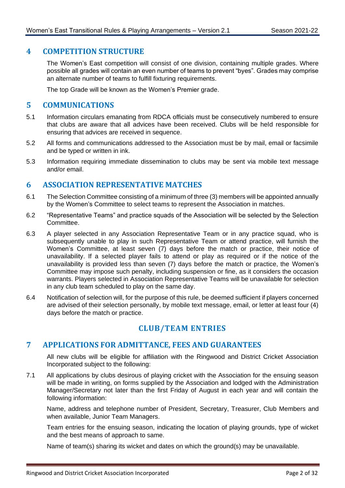#### <span id="page-5-0"></span>**4 COMPETITION STRUCTURE**

The Women's East competition will consist of one division, containing multiple grades. Where possible all grades will contain an even number of teams to prevent "byes". Grades may comprise an alternate number of teams to fulfill fixturing requirements.

The top Grade will be known as the Women's Premier grade.

#### <span id="page-5-1"></span>**5 COMMUNICATIONS**

- 5.1 Information circulars emanating from RDCA officials must be consecutively numbered to ensure that clubs are aware that all advices have been received. Clubs will be held responsible for ensuring that advices are received in sequence.
- 5.2 All forms and communications addressed to the Association must be by mail, email or facsimile and be typed or written in ink.
- 5.3 Information requiring immediate dissemination to clubs may be sent via mobile text message and/or email.

#### <span id="page-5-2"></span>**6 ASSOCIATION REPRESENTATIVE MATCHES**

- 6.1 The Selection Committee consisting of a minimum of three (3) members will be appointed annually by the Women's Committee to select teams to represent the Association in matches.
- 6.2 "Representative Teams" and practice squads of the Association will be selected by the Selection Committee.
- <span id="page-5-5"></span>6.3 A player selected in any Association Representative Team or in any practice squad, who is subsequently unable to play in such Representative Team or attend practice, will furnish the Women's Committee, at least seven (7) days before the match or practice, their notice of unavailability. If a selected player fails to attend or play as required or if the notice of the unavailability is provided less than seven (7) days before the match or practice, the Women's Committee may impose such penalty, including suspension or fine, as it considers the occasion warrants. Players selected in Association Representative Teams will be unavailable for selection in any club team scheduled to play on the same day.
- 6.4 Notification of selection will, for the purpose of this rule, be deemed sufficient if players concerned are advised of their selection personally, by mobile text message, email, or letter at least four (4) days before the match or practice.

# **CLUB/TEAM ENTRIES**

#### <span id="page-5-4"></span><span id="page-5-3"></span>**7 APPLICATIONS FOR ADMITTANCE, FEES AND GUARANTEES**

All new clubs will be eligible for affiliation with the Ringwood and District Cricket Association Incorporated subject to the following:

7.1 All applications by clubs desirous of playing cricket with the Association for the ensuing season will be made in writing, on forms supplied by the Association and lodged with the Administration Manager/Secretary not later than the first Friday of August in each year and will contain the following information:

Name, address and telephone number of President, Secretary, Treasurer, Club Members and when available, Junior Team Managers.

Team entries for the ensuing season, indicating the location of playing grounds, type of wicket and the best means of approach to same.

Name of team(s) sharing its wicket and dates on which the ground(s) may be unavailable.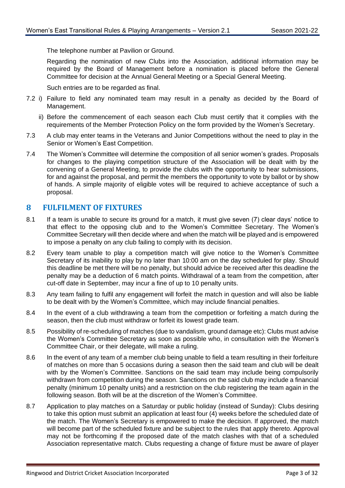The telephone number at Pavilion or Ground.

Regarding the nomination of new Clubs into the Association, additional information may be required by the Board of Management before a nomination is placed before the General Committee for decision at the Annual General Meeting or a Special General Meeting.

Such entries are to be regarded as final.

- 7.2 i) Failure to field any nominated team may result in a penalty as decided by the Board of Management.
	- ii) Before the commencement of each season each Club must certify that it complies with the requirements of the Member Protection Policy on the form provided by the Women's Secretary.
- 7.3 A club may enter teams in the Veterans and Junior Competitions without the need to play in the Senior or Women's East Competition.
- 7.4 The Women's Committee will determine the composition of all senior women's grades. Proposals for changes to the playing competition structure of the Association will be dealt with by the convening of a General Meeting, to provide the clubs with the opportunity to hear submissions, for and against the proposal, and permit the members the opportunity to vote by ballot or by show of hands. A simple majority of eligible votes will be required to achieve acceptance of such a proposal.

#### <span id="page-6-0"></span>**8 FULFILMENT OF FIXTURES**

- 8.1 If a team is unable to secure its ground for a match, it must give seven (7) clear days' notice to that effect to the opposing club and to the Women's Committee Secretary. The Women's Committee Secretary will then decide where and when the match will be played and is empowered to impose a penalty on any club failing to comply with its decision.
- 8.2 Every team unable to play a competition match will give notice to the Women's Committee Secretary of its inability to play by no later than 10:00 am on the day scheduled for play. Should this deadline be met there will be no penalty, but should advice be received after this deadline the penalty may be a deduction of 6 match points. Withdrawal of a team from the competition, after cut-off date in September, may incur a fine of up to 10 penalty units.
- 8.3 Any team failing to fulfil any engagement will forfeit the match in question and will also be liable to be dealt with by the Women's Committee, which may include financial penalties.
- 8.4 In the event of a club withdrawing a team from the competition or forfeiting a match during the season, then the club must withdraw or forfeit its lowest grade team.
- 8.5 Possibility of re-scheduling of matches (due to vandalism, ground damage etc): Clubs must advise the Women's Committee Secretary as soon as possible who, in consultation with the Women's Committee Chair, or their delegate, will make a ruling.
- 8.6 In the event of any team of a member club being unable to field a team resulting in their forfeiture of matches on more than 5 occasions during a season then the said team and club will be dealt with by the Women's Committee. Sanctions on the said team may include being compulsorily withdrawn from competition during the season. Sanctions on the said club may include a financial penalty (minimum 10 penalty units) and a restriction on the club registering the team again in the following season. Both will be at the discretion of the Women's Committee.
- 8.7 Application to play matches on a Saturday or public holiday (instead of Sunday): Clubs desiring to take this option must submit an application at least four (4) weeks before the scheduled date of the match. The Women's Secretary is empowered to make the decision. If approved, the match will become part of the scheduled fixture and be subject to the rules that apply thereto. Approval may not be forthcoming if the proposed date of the match clashes with that of a scheduled Association representative match. Clubs requesting a change of fixture must be aware of player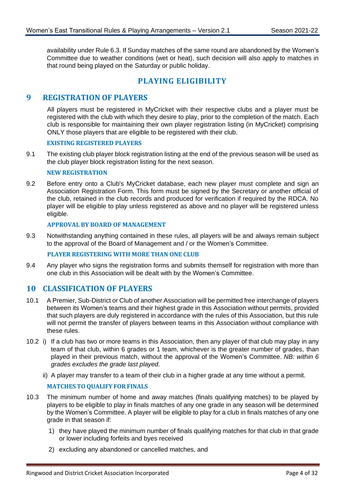availability under Rule [6.3.](#page-5-5) If Sunday matches of the same round are abandoned by the Women's Committee due to weather conditions (wet or heat), such decision will also apply to matches in that round being played on the Saturday or public holiday.

# **PLAYING ELIGIBILITY**

#### <span id="page-7-1"></span><span id="page-7-0"></span>**9 REGISTRATION OF PLAYERS**

All players must be registered in MyCricket with their respective clubs and a player must be registered with the club with which they desire to play, prior to the completion of the match. Each club is responsible for maintaining their own player registration listing (in MyCricket) comprising ONLY those players that are eligible to be registered with their club.

#### **EXISTING REGISTERED PLAYERS**

9.1 The existing club player block registration listing at the end of the previous season will be used as the club player block registration listing for the next season.

#### **NEW REGISTRATION**

9.2 Before entry onto a Club's MyCricket database, each new player must complete and sign an Association Registration Form. This form must be signed by the Secretary or another official of the club, retained in the club records and produced for verification if required by the RDCA. No player will be eligible to play unless registered as above and no player will be registered unless eligible.

#### **APPROVAL BY BOARD OF MANAGEMENT**

9.3 Notwithstanding anything contained in these rules, all players will be and always remain subject to the approval of the Board of Management and / or the Women's Committee.

#### **PLAYER REGISTERING WITH MORE THAN ONE CLUB**

9.4 Any player who signs the registration forms and submits themself for registration with more than one club in this Association will be dealt with by the Women's Committee.

#### <span id="page-7-2"></span>**10 CLASSIFICATION OF PLAYERS**

- 10.1 A Premier, Sub-District or Club of another Association will be permitted free interchange of players between its Women's teams and their highest grade in this Association without permits, provided that such players are duly registered in accordance with the rules of this Association, but this rule will not permit the transfer of players between teams in this Association without compliance with these rules.
- <span id="page-7-3"></span>10.2 i) If a club has two or more teams in this Association, then any player of that club may play in any team of that club, within 6 grades or 1 team, whichever is the greater number of grades, than played in their previous match, without the approval of the Women's Committee. *NB: within 6 grades excludes the grade last played.*
	- ii) A player may transfer to a team of their club in a higher grade at any time without a permit.

#### **MATCHES TO QUALIFY FOR FINALS**

- 10.3 The minimum number of home and away matches (finals qualifying matches) to be played by players to be eligible to play in finals matches of any one grade in any season will be determined by the Women's Committee. A player will be eligible to play for a club in finals matches of any one grade in that season if:
	- 1) they have played the minimum number of finals qualifying matches for that club in that grade or lower including forfeits and byes received
	- 2) excluding any abandoned or cancelled matches, and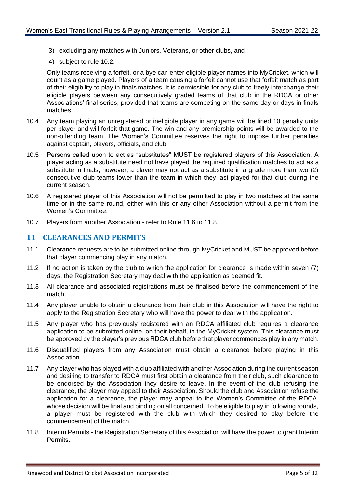- 3) excluding any matches with Juniors, Veterans, or other clubs, and
- 4) subject to rule [10.2.](#page-7-3)

Only teams receiving a forfeit, or a bye can enter eligible player names into MyCricket, which will count as a game played. Players of a team causing a forfeit cannot use that forfeit match as part of their eligibility to play in finals matches. It is permissible for any club to freely interchange their eligible players between any consecutively graded teams of that club in the RDCA or other Associations' final series, provided that teams are competing on the same day or days in finals matches.

- 10.4 Any team playing an unregistered or ineligible player in any game will be fined 10 penalty units per player and will forfeit that game. The win and any premiership points will be awarded to the non-offending team. The Women's Committee reserves the right to impose further penalties against captain, players, officials, and club.
- 10.5 Persons called upon to act as "substitutes" MUST be registered players of this Association. A player acting as a substitute need not have played the required qualification matches to act as a substitute in finals; however, a player may not act as a substitute in a grade more than two (2) consecutive club teams lower than the team in which they last played for that club during the current season.
- 10.6 A registered player of this Association will not be permitted to play in two matches at the same time or in the same round, either with this or any other Association without a permit from the Women's Committee.
- 10.7 Players from another Association refer to Rule [11.6](#page-8-1) to [11.8.](#page-8-2)

#### <span id="page-8-0"></span>**11 CLEARANCES AND PERMITS**

- 11.1 Clearance requests are to be submitted online through MyCricket and MUST be approved before that player commencing play in any match.
- 11.2 If no action is taken by the club to which the application for clearance is made within seven (7) days, the Registration Secretary may deal with the application as deemed fit.
- 11.3 All clearance and associated registrations must be finalised before the commencement of the match.
- 11.4 Any player unable to obtain a clearance from their club in this Association will have the right to apply to the Registration Secretary who will have the power to deal with the application.
- 11.5 Any player who has previously registered with an RDCA affiliated club requires a clearance application to be submitted online, on their behalf, in the MyCricket system. This clearance must be approved by the player's previous RDCA club before that player commences play in any match.
- <span id="page-8-1"></span>11.6 Disqualified players from any Association must obtain a clearance before playing in this Association.
- 11.7 Any player who has played with a club affiliated with another Association during the current season and desiring to transfer to RDCA must first obtain a clearance from their club, such clearance to be endorsed by the Association they desire to leave. In the event of the club refusing the clearance, the player may appeal to their Association. Should the club and Association refuse the application for a clearance, the player may appeal to the Women's Committee of the RDCA, whose decision will be final and binding on all concerned. To be eligible to play in following rounds, a player must be registered with the club with which they desired to play before the commencement of the match.
- <span id="page-8-2"></span>11.8 Interim Permits - the Registration Secretary of this Association will have the power to grant Interim Permits.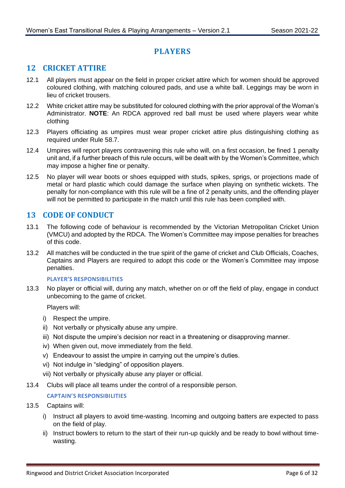# **PLAYERS**

# <span id="page-9-1"></span><span id="page-9-0"></span>**12 CRICKET ATTIRE**

- 12.1 All players must appear on the field in proper cricket attire which for women should be approved coloured clothing, with matching coloured pads, and use a white ball. Leggings may be worn in lieu of cricket trousers.
- 12.2 White cricket attire may be substituted for coloured clothing with the prior approval of the Woman's Administrator. **NOTE**: An RDCA approved red ball must be used where players wear white clothing
- 12.3 Players officiating as umpires must wear proper cricket attire plus distinguishing clothing as required under Rule [58.7.](#page-31-3)
- 12.4 Umpires will report players contravening this rule who will, on a first occasion, be fined 1 penalty unit and, if a further breach of this rule occurs, will be dealt with by the Women's Committee, which may impose a higher fine or penalty.
- 12.5 No player will wear boots or shoes equipped with studs, spikes, sprigs, or projections made of metal or hard plastic which could damage the surface when playing on synthetic wickets. The penalty for non-compliance with this rule will be a fine of 2 penalty units, and the offending player will not be permitted to participate in the match until this rule has been complied with.

# <span id="page-9-2"></span>**13 CODE OF CONDUCT**

- 13.1 The following code of behaviour is recommended by the Victorian Metropolitan Cricket Union (VMCU) and adopted by the RDCA. The Women's Committee may impose penalties for breaches of this code.
- 13.2 All matches will be conducted in the true spirit of the game of cricket and Club Officials, Coaches, Captains and Players are required to adopt this code or the Women's Committee may impose penalties.

#### **PLAYER'S RESPONSIBILITIES**

13.3 No player or official will, during any match, whether on or off the field of play, engage in conduct unbecoming to the game of cricket.

Players will:

- i) Respect the umpire.
- ii) Not verbally or physically abuse any umpire.
- iii) Not dispute the umpire's decision nor react in a threatening or disapproving manner.
- iv) When given out, move immediately from the field.
- v) Endeavour to assist the umpire in carrying out the umpire's duties.
- vi) Not indulge in "sledging" of opposition players.
- vii) Not verbally or physically abuse any player or official.
- 13.4 Clubs will place all teams under the control of a responsible person.

#### **CAPTAIN'S RESPONSIBILITIES**

#### 13.5 Captains will:

- i) Instruct all players to avoid time-wasting. Incoming and outgoing batters are expected to pass on the field of play.
- ii) Instruct bowlers to return to the start of their run-up quickly and be ready to bowl without timewasting.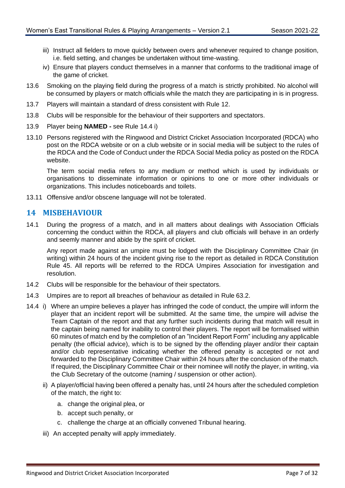- iii) Instruct all fielders to move quickly between overs and whenever required to change position, i.e. field setting, and changes be undertaken without time-wasting.
- iv) Ensure that players conduct themselves in a manner that conforms to the traditional image of the game of cricket.
- 13.6 Smoking on the playing field during the progress of a match is strictly prohibited. No alcohol will be consumed by players or match officials while the match they are participating in is in progress.
- 13.7 Players will maintain a standard of dress consistent with Rule [12.](#page-9-1)
- 13.8 Clubs will be responsible for the behaviour of their supporters and spectators.
- 13.9 Player being **NAMED -** see Rule [14.4](#page-10-1) i)
- 13.10 Persons registered with the Ringwood and District Cricket Association Incorporated (RDCA) who post on the RDCA website or on a club website or in social media will be subject to the rules of the RDCA and the Code of Conduct under the RDCA Social Media policy as posted on the RDCA website.

The term social media refers to any medium or method which is used by individuals or organisations to disseminate information or opinions to one or more other individuals or organizations. This includes noticeboards and toilets.

13.11 Offensive and/or obscene language will not be tolerated.

#### <span id="page-10-0"></span>**14 MISBEHAVIOUR**

14.1 During the progress of a match, and in all matters about dealings with Association Officials concerning the conduct within the RDCA, all players and club officials will behave in an orderly and seemly manner and abide by the spirit of cricket.

Any report made against an umpire must be lodged with the Disciplinary Committee Chair (in writing) within 24 hours of the incident giving rise to the report as detailed in RDCA Constitution Rule 45. All reports will be referred to the RDCA Umpires Association for investigation and resolution.

- 14.2 Clubs will be responsible for the behaviour of their spectators.
- 14.3 Umpires are to report all breaches of behaviour as detailed in Rule [63.2.](#page-33-2)
- <span id="page-10-1"></span>14.4 i) Where an umpire believes a player has infringed the code of conduct, the umpire will inform the player that an incident report will be submitted. At the same time, the umpire will advise the Team Captain of the report and that any further such incidents during that match will result in the captain being named for inability to control their players. The report will be formalised within 60 minutes of match end by the completion of an "Incident Report Form" including any applicable penalty (the official advice), which is to be signed by the offending player and/or their captain and/or club representative indicating whether the offered penalty is accepted or not and forwarded to the Disciplinary Committee Chair within 24 hours after the conclusion of the match. If required, the Disciplinary Committee Chair or their nominee will notify the player, in writing, via the Club Secretary of the outcome (naming / suspension or other action).
	- ii) A player/official having been offered a penalty has, until 24 hours after the scheduled completion of the match, the right to:
		- a. change the original plea, or
		- b. accept such penalty, or
		- c. challenge the charge at an officially convened Tribunal hearing.
	- iii) An accepted penalty will apply immediately.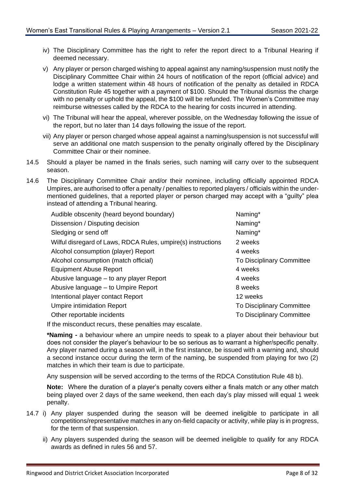- iv) The Disciplinary Committee has the right to refer the report direct to a Tribunal Hearing if deemed necessary.
- v) Any player or person charged wishing to appeal against any naming/suspension must notify the Disciplinary Committee Chair within 24 hours of notification of the report (official advice) and lodge a written statement within 48 hours of notification of the penalty as detailed in RDCA Constitution Rule 45 together with a payment of \$100. Should the Tribunal dismiss the charge with no penalty or uphold the appeal, the \$100 will be refunded. The Women's Committee may reimburse witnesses called by the RDCA to the hearing for costs incurred in attending.
- vi) The Tribunal will hear the appeal, wherever possible, on the Wednesday following the issue of the report, but no later than 14 days following the issue of the report.
- vii) Any player or person charged whose appeal against a naming/suspension is not successful will serve an additional one match suspension to the penalty originally offered by the Disciplinary Committee Chair or their nominee.
- 14.5 Should a player be named in the finals series, such naming will carry over to the subsequent season.
- 14.6 The Disciplinary Committee Chair and/or their nominee, including officially appointed RDCA Umpires, are authorised to offer a penalty / penalties to reported players / officials within the undermentioned guidelines, that a reported player or person charged may accept with a "guilty" plea instead of attending a Tribunal hearing.

| Audible obscenity (heard beyond boundary)                    | Naming*                          |
|--------------------------------------------------------------|----------------------------------|
| Dissension / Disputing decision                              | Naming*                          |
| Sledging or send off                                         | Naming*                          |
| Wilful disregard of Laws, RDCA Rules, umpire(s) instructions | 2 weeks                          |
| Alcohol consumption (player) Report                          | 4 weeks                          |
| Alcohol consumption (match official)                         | To Disciplinary Committee        |
| <b>Equipment Abuse Report</b>                                | 4 weeks                          |
| Abusive language – to any player Report                      | 4 weeks                          |
| Abusive language – to Umpire Report                          | 8 weeks                          |
| Intentional player contact Report                            | 12 weeks                         |
| <b>Umpire intimidation Report</b>                            | <b>To Disciplinary Committee</b> |
| Other reportable incidents                                   | To Disciplinary Committee        |
| $\pm$ the missendust requre these penelties meu secolets     |                                  |

If the misconduct recurs, these penalties may escalate.

**\*Naming -** a behaviour where an umpire needs to speak to a player about their behaviour but does not consider the player's behaviour to be so serious as to warrant a higher/specific penalty. Any player named during a season will, in the first instance, be issued with a warning and, should a second instance occur during the term of the naming, be suspended from playing for two (2) matches in which their team is due to participate.

Any suspension will be served according to the terms of the RDCA Constitution Rule 48 b).

**Note:** Where the duration of a player's penalty covers either a finals match or any other match being played over 2 days of the same weekend, then each day's play missed will equal 1 week penalty.

- 14.7 i) Any player suspended during the season will be deemed ineligible to participate in all competitions/representative matches in any on-field capacity or activity, while play is in progress, for the term of that suspension.
	- ii) Any players suspended during the season will be deemed ineligible to qualify for any RDCA awards as defined in rules [56](#page-29-2) and [57.](#page-30-0)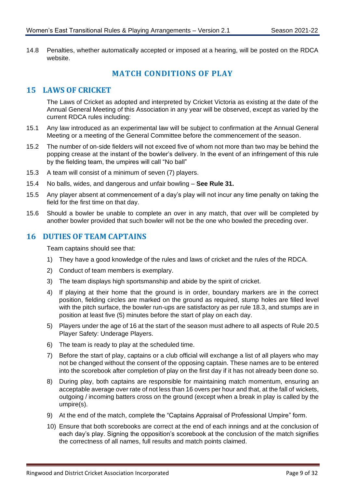<span id="page-12-0"></span>14.8 Penalties, whether automatically accepted or imposed at a hearing, will be posted on the RDCA website.

# **MATCH CONDITIONS OF PLAY**

#### <span id="page-12-1"></span>**15 LAWS OF CRICKET**

The Laws of Cricket as adopted and interpreted by Cricket Victoria as existing at the date of the Annual General Meeting of this Association in any year will be observed, except as varied by the current RDCA rules including:

- 15.1 Any law introduced as an experimental law will be subject to confirmation at the Annual General Meeting or a meeting of the General Committee before the commencement of the season.
- 15.2 The number of on-side fielders will not exceed five of whom not more than two may be behind the popping crease at the instant of the bowler's delivery. In the event of an infringement of this rule by the fielding team, the umpires will call "No ball"
- 15.3 A team will consist of a minimum of seven (7) players.
- 15.4 No balls, wides, and dangerous and unfair bowling **See Rule [31.](#page-20-2)**
- 15.5 Any player absent at commencement of a day's play will not incur any time penalty on taking the field for the first time on that day.
- 15.6 Should a bowler be unable to complete an over in any match, that over will be completed by another bowler provided that such bowler will not be the one who bowled the preceding over.

#### <span id="page-12-2"></span>**16 DUTIES OF TEAM CAPTAINS**

Team captains should see that:

- 1) They have a good knowledge of the rules and laws of cricket and the rules of the RDCA.
- 2) Conduct of team members is exemplary.
- 3) The team displays high sportsmanship and abide by the spirit of cricket.
- 4) If playing at their home that the ground is in order, boundary markers are in the correct position, fielding circles are marked on the ground as required, stump holes are filled level with the pitch surface, the bowler run-ups are satisfactory as per rule [18.3,](#page-14-1) and stumps are in position at least five (5) minutes before the start of play on each day.
- 5) Players under the age of 16 at the start of the season must adhere to all aspects of Rul[e 20.5](#page-16-0) Player Safety: Underage Players.
- 6) The team is ready to play at the scheduled time.
- 7) Before the start of play, captains or a club official will exchange a list of all players who may not be changed without the consent of the opposing captain. These names are to be entered into the scorebook after completion of play on the first day if it has not already been done so.
- 8) During play, both captains are responsible for maintaining match momentum, ensuring an acceptable average over rate of not less than 16 overs per hour and that, at the fall of wickets, outgoing / incoming batters cross on the ground (except when a break in play is called by the umpire(s).
- 9) At the end of the match, complete the "Captains Appraisal of Professional Umpire" form.
- 10) Ensure that both scorebooks are correct at the end of each innings and at the conclusion of each day's play. Signing the opposition's scorebook at the conclusion of the match signifies the correctness of all names, full results and match points claimed.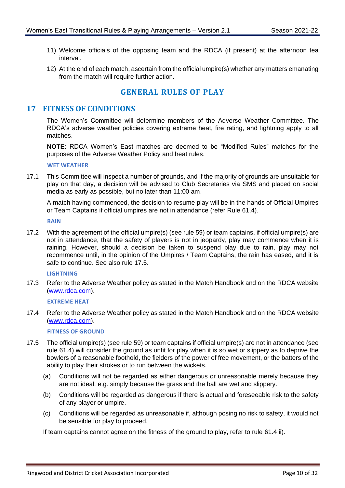- 11) Welcome officials of the opposing team and the RDCA (if present) at the afternoon tea interval.
- 12) At the end of each match, ascertain from the official umpire(s) whether any matters emanating from the match will require further action.

# **GENERAL RULES OF PLAY**

#### <span id="page-13-1"></span><span id="page-13-0"></span>**17 FITNESS OF CONDITIONS**

The Women's Committee will determine members of the Adverse Weather Committee. The RDCA's adverse weather policies covering extreme heat, fire rating, and lightning apply to all matches.

**NOTE**: RDCA Women's East matches are deemed to be "Modified Rules" matches for the purposes of the Adverse Weather Policy and heat rules.

#### **WET WEATHER**

17.1 This Committee will inspect a number of grounds, and if the majority of grounds are unsuitable for play on that day, a decision will be advised to Club Secretaries via SMS and placed on social media as early as possible, but no later than 11:00 am.

A match having commenced, the decision to resume play will be in the hands of Official Umpires or Team Captains if official umpires are not in attendance (refer Rule [61.4\)](#page-32-1).

**RAIN**

17.2 With the agreement of the official umpire(s) (see rule [59\)](#page-31-0) or team captains, if official umpire(s) are not in attendance, that the safety of players is not in jeopardy, play may commence when it is raining. However, should a decision be taken to suspend play due to rain, play may not recommence until, in the opinion of the Umpires / Team Captains, the rain has eased, and it is safe to continue. See also rule [17.5.](#page-13-2)

#### **LIGHTNING**

17.3 Refer to the Adverse Weather policy as stated in the Match Handbook and on the RDCA website [\(www.rdca.com\).](http://www.rdca.com/)

**EXTREME HEAT**

17.4 Refer to the Adverse Weather policy as stated in the Match Handbook and on the RDCA website [\(www.rdca.com\).](http://www.rdca.com/)

#### **FITNESS OF GROUND**

- <span id="page-13-2"></span>17.5 The official umpire(s) (see rule [59\)](#page-31-0) or team captains if official umpire(s) are not in attendance (see rule [61.4\)](#page-32-1) will consider the ground as unfit for play when it is so wet or slippery as to deprive the bowlers of a reasonable foothold, the fielders of the power of free movement, or the batters of the ability to play their strokes or to run between the wickets.
	- (a) Conditions will not be regarded as either dangerous or unreasonable merely because they are not ideal, e.g. simply because the grass and the ball are wet and slippery.
	- (b) Conditions will be regarded as dangerous if there is actual and foreseeable risk to the safety of any player or umpire.
	- (c) Conditions will be regarded as unreasonable if, although posing no risk to safety, it would not be sensible for play to proceed.

If team captains cannot agree on the fitness of the ground to play, refer to rule [61.4](#page-32-1) ii).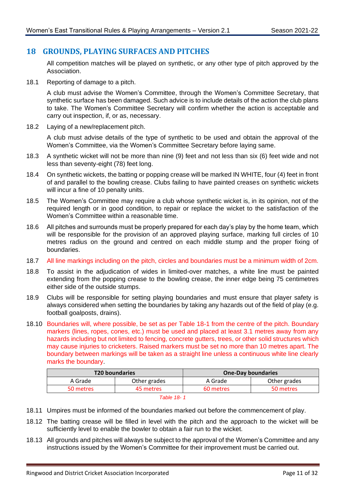## <span id="page-14-0"></span>**18 GROUNDS, PLAYING SURFACES AND PITCHES**

All competition matches will be played on synthetic, or any other type of pitch approved by the Association.

18.1 Reporting of damage to a pitch.

A club must advise the Women's Committee, through the Women's Committee Secretary, that synthetic surface has been damaged. Such advice is to include details of the action the club plans to take. The Women's Committee Secretary will confirm whether the action is acceptable and carry out inspection, if, or as, necessary.

18.2 Laying of a new/replacement pitch.

A club must advise details of the type of synthetic to be used and obtain the approval of the Women's Committee, via the Women's Committee Secretary before laying same.

- <span id="page-14-1"></span>18.3 A synthetic wicket will not be more than nine (9) feet and not less than six (6) feet wide and not less than seventy-eight (78) feet long.
- 18.4 On synthetic wickets, the batting or popping crease will be marked IN WHITE, four (4) feet in front of and parallel to the bowling crease. Clubs failing to have painted creases on synthetic wickets will incur a fine of 10 penalty units.
- 18.5 The Women's Committee may require a club whose synthetic wicket is, in its opinion, not of the required length or in good condition, to repair or replace the wicket to the satisfaction of the Women's Committee within a reasonable time.
- 18.6 All pitches and surrounds must be properly prepared for each day's play by the home team, which will be responsible for the provision of an approved playing surface, marking full circles of 10 metres radius on the ground and centred on each middle stump and the proper fixing of boundaries.
- 18.7 All line markings including on the pitch, circles and boundaries must be a minimum width of 2cm.
- <span id="page-14-2"></span>18.8 To assist in the adjudication of wides in limited-over matches, a white line must be painted extending from the popping crease to the bowling crease, the inner edge being 75 centimetres either side of the outside stumps.
- 18.9 Clubs will be responsible for setting playing boundaries and must ensure that player safety is always considered when setting the boundaries by taking any hazards out of the field of play (e.g. football goalposts, drains).
- 18.10 Boundaries will, where possible, be set as per Table 18-1 from the centre of the pitch. Boundary markers (lines, ropes, cones, etc.) must be used and placed at least 3.1 metres away from any hazards including but not limited to fencing, concrete gutters, trees, or other solid structures which may cause injuries to cricketers. Raised markers must be set no more than 10 metres apart. The boundary between markings will be taken as a straight line unless a continuous white line clearly marks the boundary.

|                         | <b>T20 boundaries</b> |           | <b>One-Day boundaries</b> |
|-------------------------|-----------------------|-----------|---------------------------|
| Other grades<br>A Grade |                       | A Grade   | Other grades              |
| 45 metres<br>50 metres  |                       | 60 metres | 50 metres                 |
|                         |                       |           |                           |



- 18.11 Umpires must be informed of the boundaries marked out before the commencement of play.
- 18.12 The batting crease will be filled in level with the pitch and the approach to the wicket will be sufficiently level to enable the bowler to obtain a fair run to the wicket.
- 18.13 All grounds and pitches will always be subject to the approval of the Women's Committee and any instructions issued by the Women's Committee for their improvement must be carried out.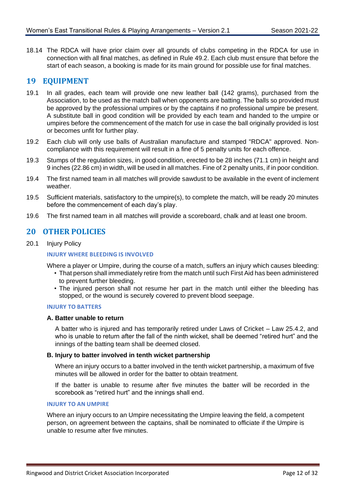18.14 The RDCA will have prior claim over all grounds of clubs competing in the RDCA for use in connection with all final matches, as defined in Rule [49.2.](#page-26-4) Each club must ensure that before the start of each season, a booking is made for its main ground for possible use for final matches.

#### <span id="page-15-0"></span>**19 EQUIPMENT**

- 19.1 In all grades, each team will provide one new leather ball (142 grams), purchased from the Association, to be used as the match ball when opponents are batting. The balls so provided must be approved by the professional umpires or by the captains if no professional umpire be present. A substitute ball in good condition will be provided by each team and handed to the umpire or umpires before the commencement of the match for use in case the ball originally provided is lost or becomes unfit for further play.
- 19.2 Each club will only use balls of Australian manufacture and stamped "RDCA" approved. Noncompliance with this requirement will result in a fine of 5 penalty units for each offence.
- 19.3 Stumps of the regulation sizes, in good condition, erected to be 28 inches (71.1 cm) in height and 9 inches (22.86 cm) in width, will be used in all matches. Fine of 2 penalty units, if in poor condition.
- 19.4 The first named team in all matches will provide sawdust to be available in the event of inclement weather.
- 19.5 Sufficient materials, satisfactory to the umpire(s), to complete the match, will be ready 20 minutes before the commencement of each day's play.
- 19.6 The first named team in all matches will provide a scoreboard, chalk and at least one broom.

#### <span id="page-15-1"></span>**20 OTHER POLICIES**

20.1 Injury Policy

#### **INJURY WHERE BLEEDING IS INVOLVED**

Where a player or Umpire, during the course of a match, suffers an injury which causes bleeding:

- That person shall immediately retire from the match until such First Aid has been administered to prevent further bleeding.
- The injured person shall not resume her part in the match until either the bleeding has stopped, or the wound is securely covered to prevent blood seepage.

#### **INJURY TO BATTERS**

#### **A. Batter unable to return**

A batter who is injured and has temporarily retired under Laws of Cricket – Law 25.4.2, and who is unable to return after the fall of the ninth wicket, shall be deemed "retired hurt" and the innings of the batting team shall be deemed closed.

#### **B. Injury to batter involved in tenth wicket partnership**

Where an injury occurs to a batter involved in the tenth wicket partnership, a maximum of five minutes will be allowed in order for the batter to obtain treatment.

If the batter is unable to resume after five minutes the batter will be recorded in the scorebook as "retired hurt" and the innings shall end.

#### **INJURY TO AN UMPIRE**

Where an injury occurs to an Umpire necessitating the Umpire leaving the field, a competent person, on agreement between the captains, shall be nominated to officiate if the Umpire is unable to resume after five minutes.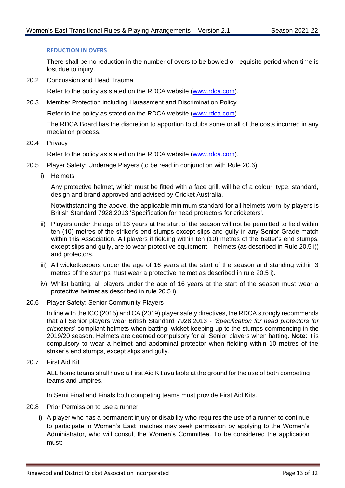#### **REDUCTION IN OVERS**

There shall be no reduction in the number of overs to be bowled or requisite period when time is lost due to injury.

20.2 Concussion and Head Trauma

Refer to the policy as stated on the RDCA website [\(www.rdca.com\).](http://www.rdca.com/)

20.3 Member Protection including Harassment and Discrimination Policy

Refer to the policy as stated on the RDCA website [\(www.rdca.com\).](http://www.rdca.com/)

The RDCA Board has the discretion to apportion to clubs some or all of the costs incurred in any mediation process.

20.4 Privacy

Refer to the policy as stated on the RDCA website [\(www.rdca.com\).](http://www.rdca.com/)

- <span id="page-16-0"></span>20.5 Player Safety: Underage Players (to be read in conjunction with Rule [20.6\)](#page-16-1)
	- i) Helmets

Any protective helmet, which must be fitted with a face grill, will be of a colour, type, standard, design and brand approved and advised by Cricket Australia.

Notwithstanding the above, the applicable minimum standard for all helmets worn by players is British Standard 7928:2013 'Specification for head protectors for cricketers'.

- ii) Players under the age of 16 years at the start of the season will not be permitted to field within ten (10) metres of the striker's end stumps except slips and gully in any Senior Grade match within this Association. All players if fielding within ten (10) metres of the batter's end stumps, except slips and gully, are to wear protective equipment – helmets (as described in Rule [20.5](#page-16-0) i)) and protectors.
- iii) All wicketkeepers under the age of 16 years at the start of the season and standing within 3 metres of the stumps must wear a protective helmet as described in rule [20.5](#page-16-0) i).
- iv) Whilst batting, all players under the age of 16 years at the start of the season must wear a protective helmet as described in rule [20.5](#page-16-0) i).
- <span id="page-16-1"></span>20.6 Player Safety: Senior Community Players

In line with the ICC (2015) and CA (2019) player safety directives, the RDCA strongly recommends that all Senior players wear British Standard 7928:2013 - *'Specification for head protectors for cricketers*' compliant helmets when batting, wicket-keeping up to the stumps commencing in the 2019/20 season. Helmets are deemed compulsory for all Senior players when batting. **Note**: it is compulsory to wear a helmet and abdominal protector when fielding within 10 metres of the striker's end stumps, except slips and gully.

20.7 First Aid Kit

ALL home teams shall have a First Aid Kit available at the ground for the use of both competing teams and umpires.

In Semi Final and Finals both competing teams must provide First Aid Kits.

- 20.8 Prior Permission to use a runner
	- i) A player who has a permanent injury or disability who requires the use of a runner to continue to participate in Women's East matches may seek permission by applying to the Women's Administrator, who will consult the Women's Committee. To be considered the application must: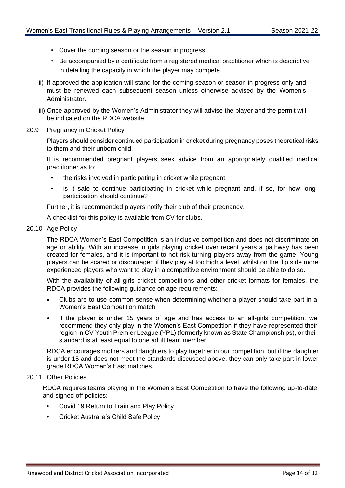- Cover the coming season or the season in progress.
- Be accompanied by a certificate from a registered medical practitioner which is descriptive in detailing the capacity in which the player may compete.
- ii) If approved the application will stand for the coming season or season in progress only and must be renewed each subsequent season unless otherwise advised by the Women's Administrator.
- iii) Once approved by the Women's Administrator they will advise the player and the permit will be indicated on the RDCA website.
- 20.9 Pregnancy in Cricket Policy

Players should consider continued participation in cricket during pregnancy poses theoretical risks to them and their unborn child.

It is recommended pregnant players seek advice from an appropriately qualified medical practitioner as to:

- the risks involved in participating in cricket while pregnant.
- is it safe to continue participating in cricket while pregnant and, if so, for how long participation should continue?

Further, it is recommended players notify their club of their pregnancy.

A checklist for this policy is available from CV for clubs.

20.10 Age Policy

The RDCA Women's East Competition is an inclusive competition and does not discriminate on age or ability. With an increase in girls playing cricket over recent years a pathway has been created for females, and it is important to not risk turning players away from the game. Young players can be scared or discouraged if they play at too high a level, whilst on the flip side more experienced players who want to play in a competitive environment should be able to do so.

With the availability of all-girls cricket competitions and other cricket formats for females, the RDCA provides the following guidance on age requirements:

- Clubs are to use common sense when determining whether a player should take part in a Women's East Competition match.
- If the player is under 15 years of age and has access to an all-girls competition, we recommend they only play in the Women's East Competition if they have represented their region in CV Youth Premier League (YPL) (formerly known as State Championships), or their standard is at least equal to one adult team member.

RDCA encourages mothers and daughters to play together in our competition, but if the daughter is under 15 and does not meet the standards discussed above, they can only take part in lower grade RDCA Women's East matches.

#### 20.11 Other Policies

RDCA requires teams playing in the Women's East Competition to have the following up-to-date and signed off policies:

- Covid 19 Return to Train and Play Policy
- Cricket Australia's Child Safe Policy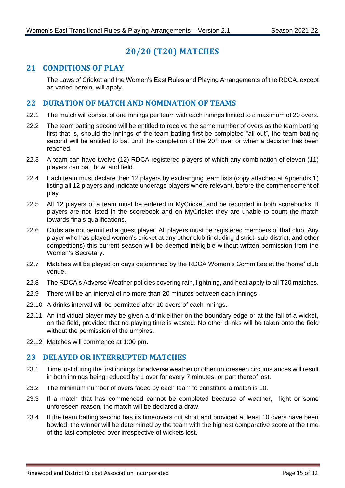# **20/20 (T20) MATCHES**

# <span id="page-18-1"></span><span id="page-18-0"></span>**21 CONDITIONS OF PLAY**

The Laws of Cricket and the Women's East Rules and Playing Arrangements of the RDCA, except as varied herein, will apply.

#### <span id="page-18-2"></span>**22 DURATION OF MATCH AND NOMINATION OF TEAMS**

- 22.1 The match will consist of one innings per team with each innings limited to a maximum of 20 overs.
- 22.2 The team batting second will be entitled to receive the same number of overs as the team batting first that is, should the innings of the team batting first be completed "all out", the team batting second will be entitled to bat until the completion of the  $20<sup>th</sup>$  over or when a decision has been reached.
- 22.3 A team can have twelve (12) RDCA registered players of which any combination of eleven (11) players can bat, bowl and field.
- 22.4 Each team must declare their 12 players by exchanging team lists (copy attached at Appendix 1) listing all 12 players and indicate underage players where relevant, before the commencement of play.
- 22.5 All 12 players of a team must be entered in MyCricket and be recorded in both scorebooks. If players are not listed in the scorebook and on MyCricket they are unable to count the match towards finals qualifications.
- 22.6 Clubs are not permitted a guest player. All players must be registered members of that club. Any player who has played women's cricket at any other club (including district, sub-district, and other competitions) this current season will be deemed ineligible without written permission from the Women's Secretary.
- 22.7 Matches will be played on days determined by the RDCA Women's Committee at the 'home' club venue.
- 22.8 The RDCA's Adverse Weather policies covering rain, lightning, and heat apply to all T20 matches.
- 22.9 There will be an interval of no more than 20 minutes between each innings.
- 22.10 A drinks interval will be permitted after 10 overs of each innings.
- 22.11 An individual player may be given a drink either on the boundary edge or at the fall of a wicket, on the field, provided that no playing time is wasted. No other drinks will be taken onto the field without the permission of the umpires.
- 22.12 Matches will commence at 1:00 pm.

#### <span id="page-18-3"></span>**23 DELAYED OR INTERRUPTED MATCHES**

- 23.1 Time lost during the first innings for adverse weather or other unforeseen circumstances will result in both innings being reduced by 1 over for every 7 minutes, or part thereof lost.
- 23.2 The minimum number of overs faced by each team to constitute a match is 10.
- 23.3 If a match that has commenced cannot be completed because of weather, light or some unforeseen reason, the match will be declared a draw.
- 23.4 If the team batting second has its time/overs cut short and provided at least 10 overs have been bowled, the winner will be determined by the team with the highest comparative score at the time of the last completed over irrespective of wickets lost.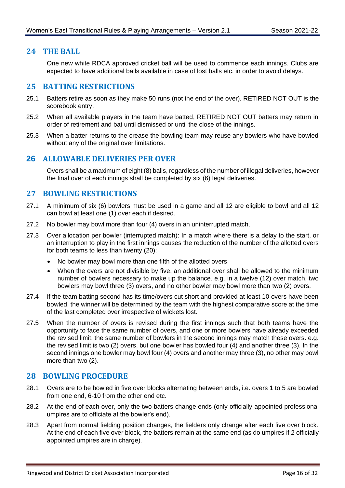#### <span id="page-19-0"></span>**24 THE BALL**

One new white RDCA approved cricket ball will be used to commence each innings. Clubs are expected to have additional balls available in case of lost balls etc. in order to avoid delays.

#### <span id="page-19-1"></span>**25 BATTING RESTRICTIONS**

- 25.1 Batters retire as soon as they make 50 runs (not the end of the over). RETIRED NOT OUT is the scorebook entry.
- 25.2 When all available players in the team have batted, RETIRED NOT OUT batters may return in order of retirement and bat until dismissed or until the close of the innings.
- 25.3 When a batter returns to the crease the bowling team may reuse any bowlers who have bowled without any of the original over limitations.

#### <span id="page-19-2"></span>**26 ALLOWABLE DELIVERIES PER OVER**

Overs shall be a maximum of eight (8) balls, regardless of the number of illegal deliveries, however the final over of each innings shall be completed by six (6) legal deliveries.

#### <span id="page-19-3"></span>**27 BOWLING RESTRICTIONS**

- 27.1 A minimum of six (6) bowlers must be used in a game and all 12 are eligible to bowl and all 12 can bowl at least one (1) over each if desired.
- 27.2 No bowler may bowl more than four (4) overs in an uninterrupted match.
- 27.3 Over allocation per bowler (interrupted match): In a match where there is a delay to the start, or an interruption to play in the first innings causes the reduction of the number of the allotted overs for both teams to less than twenty (20):
	- No bowler may bowl more than one fifth of the allotted overs
	- When the overs are not divisible by five, an additional over shall be allowed to the minimum number of bowlers necessary to make up the balance. e.g. in a twelve (12) over match, two bowlers may bowl three (3) overs, and no other bowler may bowl more than two (2) overs.
- 27.4 If the team batting second has its time/overs cut short and provided at least 10 overs have been bowled, the winner will be determined by the team with the highest comparative score at the time of the last completed over irrespective of wickets lost.
- 27.5 When the number of overs is revised during the first innings such that both teams have the opportunity to face the same number of overs, and one or more bowlers have already exceeded the revised limit, the same number of bowlers in the second innings may match these overs. e.g. the revised limit is two (2) overs, but one bowler has bowled four (4) and another three (3). In the second innings one bowler may bowl four (4) overs and another may three (3), no other may bowl more than two (2).

#### <span id="page-19-4"></span>**28 BOWLING PROCEDURE**

- 28.1 Overs are to be bowled in five over blocks alternating between ends, i.e. overs 1 to 5 are bowled from one end, 6-10 from the other end etc.
- 28.2 At the end of each over, only the two batters change ends (only officially appointed professional umpires are to officiate at the bowler's end).
- 28.3 Apart from normal fielding position changes, the fielders only change after each five over block. At the end of each five over block, the batters remain at the same end (as do umpires if 2 officially appointed umpires are in charge).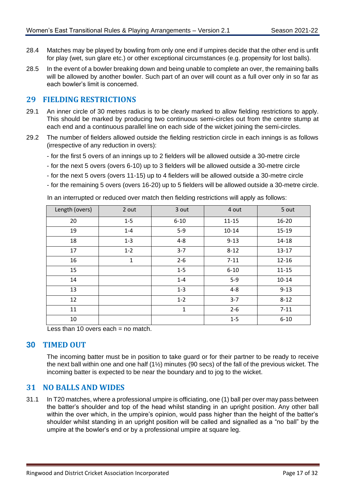- 28.4 Matches may be played by bowling from only one end if umpires decide that the other end is unfit for play (wet, sun glare etc.) or other exceptional circumstances (e.g. propensity for lost balls).
- 28.5 In the event of a bowler breaking down and being unable to complete an over, the remaining balls will be allowed by another bowler. Such part of an over will count as a full over only in so far as each bowler's limit is concerned.

#### <span id="page-20-0"></span>**29 FIELDING RESTRICTIONS**

- 29.1 An inner circle of 30 metres radius is to be clearly marked to allow fielding restrictions to apply. This should be marked by producing two continuous semi-circles out from the centre stump at each end and a continuous parallel line on each side of the wicket joining the semi-circles.
- 29.2 The number of fielders allowed outside the fielding restriction circle in each innings is as follows (irrespective of any reduction in overs):
	- for the first 5 overs of an innings up to 2 fielders will be allowed outside a 30-metre circle
	- for the next 5 overs (overs 6-10) up to 3 fielders will be allowed outside a 30-metre circle
	- for the next 5 overs (overs 11-15) up to 4 fielders will be allowed outside a 30-metre circle
	- for the remaining 5 overs (overs 16-20) up to 5 fielders will be allowed outside a 30-metre circle.

In an interrupted or reduced over match then fielding restrictions will apply as follows: Length (overs) | 2 out | 3 out | 4 out | 5 out 20 1-5 6-10 11-15 16-20 19 1-4 5-9 10-14 15-19 18 1-3 4-8 9-13 14-18 17 | 1-2 | 3-7 | 8-12 | 13-17 16 1 2-6 7-11 12-16 15 | 1-5 | 6-10 | 11-15 14 1-4 5-9 10-14 13 1-3 4-8 9-13 12 | 1-2 | 3-7 | 8-12 11 1 2-6 7-11 10 | 1-5 | 6-10

Less than 10 overs each  $=$  no match.

#### <span id="page-20-1"></span>**30 TIMED OUT**

The incoming batter must be in position to take guard or for their partner to be ready to receive the next ball within one and one half (1½) minutes (90 secs) of the fall of the previous wicket. The incoming batter is expected to be near the boundary and to jog to the wicket.

#### <span id="page-20-2"></span>**31 NO BALLS AND WIDES**

31.1 In T20 matches, where a professional umpire is officiating, one (1) ball per over may pass between the batter's shoulder and top of the head whilst standing in an upright position. Any other ball within the over which, in the umpire's opinion, would pass higher than the height of the batter's shoulder whilst standing in an upright position will be called and signalled as a "no ball" by the umpire at the bowler's end or by a professional umpire at square leg.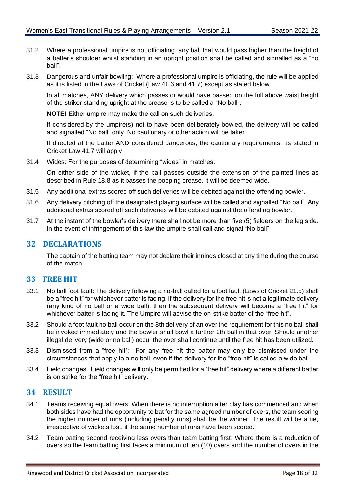- 31.2 Where a professional umpire is not officiating, any ball that would pass higher than the height of a batter's shoulder whilst standing in an upright position shall be called and signalled as a "no ball".
- 31.3 Dangerous and unfair bowling: Where a professional umpire is officiating, the rule will be applied as it is listed in the Laws of Cricket (Law 41.6 and 41.7) except as stated below.

In all matches, ANY delivery which passes or would have passed on the full above waist height of the striker standing upright at the crease is to be called a "No ball".

**NOTE!** Either umpire may make the call on such deliveries.

If considered by the umpire(s) not to have been deliberately bowled, the delivery will be called and signalled "No ball" only. No cautionary or other action will be taken.

If directed at the batter AND considered dangerous, the cautionary requirements, as stated in Cricket Law 41.7 will apply.

31.4 Wides: For the purposes of determining "wides" in matches:

On either side of the wicket, if the ball passes outside the extension of the painted lines as described in Rule [18.8](#page-14-2) as it passes the popping crease, it will be deemed wide.

- 31.5 Any additional extras scored off such deliveries will be debited against the offending bowler.
- 31.6 Any delivery pitching off the designated playing surface will be called and signalled "No ball". Any additional extras scored off such deliveries will be debited against the offending bowler.
- 31.7 At the instant of the bowler's delivery there shall not be more than five (5) fielders on the leg side. In the event of infringement of this law the umpire shall call and signal "No ball".

#### <span id="page-21-0"></span>**32 DECLARATIONS**

The captain of the batting team may not declare their innings closed at any time during the course of the match.

#### <span id="page-21-1"></span>**33 FREE HIT**

- 33.1 No ball foot fault: The delivery following a no-ball called for a foot fault (Laws of Cricket 21.5) shall be a "free hit" for whichever batter is facing. If the delivery for the free hit is not a legitimate delivery (any kind of no ball or a wide ball), then the subsequent delivery will become a "free hit" for whichever batter is facing it. The Umpire will advise the on-strike batter of the "free hit".
- 33.2 Should a foot fault no ball occur on the 8th delivery of an over the requirement for this no ball shall be invoked immediately and the bowler shall bowl a further 9th ball in that over. Should another illegal delivery (wide or no ball) occur the over shall continue until the free hit has been utilized.
- 33.3 Dismissed from a "free hit": For any free hit the batter may only be dismissed under the circumstances that apply to a no ball, even if the delivery for the "free hit" is called a wide ball.
- 33.4 Field changes: Field changes will only be permitted for a "free hit" delivery where a different batter is on strike for the "free hit" delivery.

#### <span id="page-21-2"></span>**34 RESULT**

- 34.1 Teams receiving equal overs: When there is no interruption after play has commenced and when both sides have had the opportunity to bat for the same agreed number of overs, the team scoring the higher number of runs (including penalty runs) shall be the winner. The result will be a tie, irrespective of wickets lost, if the same number of runs have been scored.
- 34.2 Team batting second receiving less overs than team batting first: Where there is a reduction of overs so the team batting first faces a minimum of ten (10) overs and the number of overs in the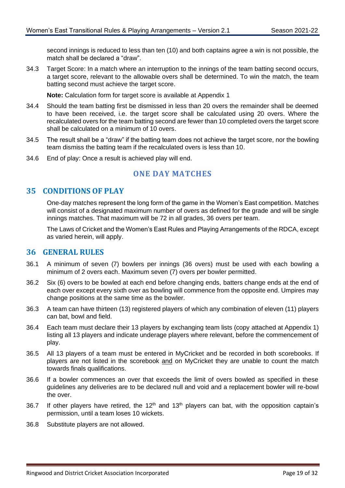second innings is reduced to less than ten (10) and both captains agree a win is not possible, the match shall be declared a "draw".

34.3 Target Score: In a match where an interruption to the innings of the team batting second occurs, a target score, relevant to the allowable overs shall be determined. To win the match, the team batting second must achieve the target score.

**Note:** Calculation form for target score is available at Appendix 1

- 34.4 Should the team batting first be dismissed in less than 20 overs the remainder shall be deemed to have been received, i.e. the target score shall be calculated using 20 overs. Where the recalculated overs for the team batting second are fewer than 10 completed overs the target score shall be calculated on a minimum of 10 overs.
- 34.5 The result shall be a "draw" if the batting team does not achieve the target score, nor the bowling team dismiss the batting team if the recalculated overs is less than 10.
- <span id="page-22-0"></span>34.6 End of play: Once a result is achieved play will end.

# **ONE DAY MATCHES**

#### <span id="page-22-1"></span>**35 CONDITIONS OF PLAY**

One-day matches represent the long form of the game in the Women's East competition. Matches will consist of a designated maximum number of overs as defined for the grade and will be single innings matches. That maximum will be 72 in all grades, 36 overs per team.

The Laws of Cricket and the Women's East Rules and Playing Arrangements of the RDCA, except as varied herein, will apply.

#### <span id="page-22-2"></span>**36 GENERAL RULES**

- 36.1 A minimum of seven (7) bowlers per innings (36 overs) must be used with each bowling a minimum of 2 overs each. Maximum seven (7) overs per bowler permitted.
- 36.2 Six (6) overs to be bowled at each end before changing ends, batters change ends at the end of each over except every sixth over as bowling will commence from the opposite end. Umpires may change positions at the same time as the bowler.
- 36.3 A team can have thirteen (13) registered players of which any combination of eleven (11) players can bat, bowl and field.
- 36.4 Each team must declare their 13 players by exchanging team lists (copy attached at Appendix 1) listing all 13 players and indicate underage players where relevant, before the commencement of play.
- 36.5 All 13 players of a team must be entered in MyCricket and be recorded in both scorebooks. If players are not listed in the scorebook and on MyCricket they are unable to count the match towards finals qualifications.
- 36.6 If a bowler commences an over that exceeds the limit of overs bowled as specified in these guidelines any deliveries are to be declared null and void and a replacement bowler will re-bowl the over.
- 36.7 If other players have retired, the  $12<sup>th</sup>$  and  $13<sup>th</sup>$  players can bat, with the opposition captain's permission, until a team loses 10 wickets.
- 36.8 Substitute players are not allowed.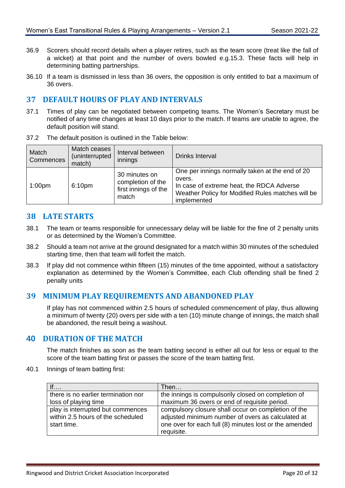- 36.9 Scorers should record details when a player retires, such as the team score (treat like the fall of a wicket) at that point and the number of overs bowled e.g.15.3. These facts will help in determining batting partnerships.
- 36.10 If a team is dismissed in less than 36 overs, the opposition is only entitled to bat a maximum of 36 overs.

#### <span id="page-23-0"></span>**37 DEFAULT HOURS OF PLAY AND INTERVALS**

37.1 Times of play can be negotiated between competing teams. The Women's Secretary must be notified of any time changes at least 10 days prior to the match. If teams are unable to agree, the default position will stand.

| Match<br>Commences | Match ceases<br>(uninterrupted<br>match) | Interval between<br>innings                                         | Drinks Interval                                                                                                                                                            |
|--------------------|------------------------------------------|---------------------------------------------------------------------|----------------------------------------------------------------------------------------------------------------------------------------------------------------------------|
| 1:00 <sub>pm</sub> | 6:10pm                                   | 30 minutes on<br>completion of the<br>first innings of the<br>match | One per innings normally taken at the end of 20<br>overs.<br>In case of extreme heat, the RDCA Adverse<br>Weather Policy for Modified Rules matches will be<br>implemented |

37.2 The default position is outlined in the Table below:

#### <span id="page-23-1"></span>**38 LATE STARTS**

- 38.1 The team or teams responsible for unnecessary delay will be liable for the fine of 2 penalty units or as determined by the Women's Committee.
- 38.2 Should a team not arrive at the ground designated for a match within 30 minutes of the scheduled starting time, then that team will forfeit the match.
- 38.3 If play did not commence within fifteen (15) minutes of the time appointed, without a satisfactory explanation as determined by the Women's Committee, each Club offending shall be fined 2 penalty units

#### <span id="page-23-2"></span>**39 MINIMUM PLAY REQUIREMENTS AND ABANDONED PLAY**

If play has not commenced within 2.5 hours of scheduled commencement of play, thus allowing a minimum of twenty (20) overs per side with a ten (10) minute change of innings, the match shall be abandoned, the result being a washout.

## <span id="page-23-3"></span>**40 DURATION OF THE MATCH**

The match finishes as soon as the team batting second is either all out for less or equal to the score of the team batting first or passes the score of the team batting first.

40.1 Innings of team batting first:

| If                                  | Then…                                                  |
|-------------------------------------|--------------------------------------------------------|
| there is no earlier termination nor | the innings is compulsorily closed on completion of    |
| loss of playing time                | maximum 36 overs or end of requisite period.           |
| play is interrupted but commences   | compulsory closure shall occur on completion of the    |
| within 2.5 hours of the scheduled   | adjusted minimum number of overs as calculated at      |
| start time.                         | one over for each full (8) minutes lost or the amended |
|                                     | requisite.                                             |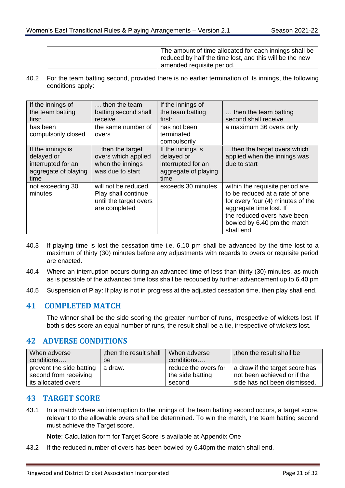| The amount of time allocated for each innings shall be<br>reduced by half the time lost, and this will be the new<br>amended requisite period. |
|------------------------------------------------------------------------------------------------------------------------------------------------|
|                                                                                                                                                |

40.2 For the team batting second, provided there is no earlier termination of its innings, the following conditions apply:

| If the innings of<br>the team batting<br>first:                                       | then the team<br>batting second shall<br>receive                                       | If the innings of<br>the team batting<br>first:                                       | then the team batting<br>second shall receive                                                                                                                                                                 |
|---------------------------------------------------------------------------------------|----------------------------------------------------------------------------------------|---------------------------------------------------------------------------------------|---------------------------------------------------------------------------------------------------------------------------------------------------------------------------------------------------------------|
| has been<br>compulsorily closed                                                       | the same number of<br>overs                                                            | has not been<br>terminated<br>compulsorily                                            | a maximum 36 overs only                                                                                                                                                                                       |
| If the innings is<br>delayed or<br>interrupted for an<br>aggregate of playing<br>time | then the target<br>overs which applied<br>when the innings<br>was due to start         | If the innings is<br>delayed or<br>interrupted for an<br>aggregate of playing<br>time | then the target overs which<br>applied when the innings was<br>due to start                                                                                                                                   |
| not exceeding 30<br>minutes                                                           | will not be reduced.<br>Play shall continue<br>until the target overs<br>are completed | exceeds 30 minutes                                                                    | within the requisite period are<br>to be reduced at a rate of one<br>for every four (4) minutes of the<br>aggregate time lost. If<br>the reduced overs have been<br>bowled by 6.40 pm the match<br>shall end. |

- 40.3 If playing time is lost the cessation time i.e. 6.10 pm shall be advanced by the time lost to a maximum of thirty (30) minutes before any adjustments with regards to overs or requisite period are enacted.
- 40.4 Where an interruption occurs during an advanced time of less than thirty (30) minutes, as much as is possible of the advanced time loss shall be recouped by further advancement up to 6.40 pm
- 40.5 Suspension of Play: If play is not in progress at the adjusted cessation time, then play shall end.

# <span id="page-24-0"></span>**41 COMPLETED MATCH**

The winner shall be the side scoring the greater number of runs, irrespective of wickets lost. If both sides score an equal number of runs, the result shall be a tie, irrespective of wickets lost.

# <span id="page-24-1"></span>**42 ADVERSE CONDITIONS**

| When adverse             | then the result shall | When adverse         | then the result shall be       |
|--------------------------|-----------------------|----------------------|--------------------------------|
| conditions               | be                    | conditions           |                                |
| prevent the side batting | a draw.               | reduce the overs for | a draw if the target score has |
| second from receiving    |                       | the side batting     | not been achieved or if the    |
| its allocated overs      |                       | second               | side has not been dismissed.   |

# <span id="page-24-2"></span>**43 TARGET SCORE**

43.1 In a match where an interruption to the innings of the team batting second occurs, a target score, relevant to the allowable overs shall be determined. To win the match, the team batting second must achieve the Target score.

**Note**: Calculation form for Target Score is available at Appendix One

43.2 If the reduced number of overs has been bowled by 6.40pm the match shall end.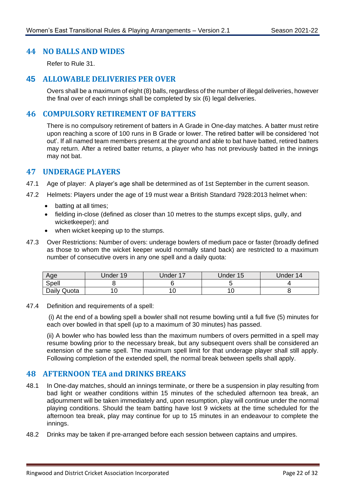#### <span id="page-25-0"></span>**44 NO BALLS AND WIDES**

Refer to Rule [31.](#page-20-2)

#### <span id="page-25-1"></span>**45 ALLOWABLE DELIVERIES PER OVER**

Overs shall be a maximum of eight (8) balls, regardless of the number of illegal deliveries, however the final over of each innings shall be completed by six (6) legal deliveries.

#### <span id="page-25-2"></span>**46 COMPULSORY RETIREMENT OF BATTERS**

There is no compulsory retirement of batters in A Grade in One-day matches. A batter must retire upon reaching a score of 100 runs in B Grade or lower. The retired batter will be considered 'not out'. If all named team members present at the ground and able to bat have batted, retired batters may return. After a retired batter returns, a player who has not previously batted in the innings may not bat.

#### <span id="page-25-3"></span>**47 UNDERAGE PLAYERS**

- 47.1 Age of player: A player's age shall be determined as of 1st September in the current season.
- 47.2 Helmets: Players under the age of 19 must wear a British Standard 7928:2013 helmet when:
	- batting at all times;
	- fielding in-close (defined as closer than 10 metres to the stumps except slips, gully, and wicketkeeper); and
	- when wicket keeping up to the stumps.
- 47.3 Over Restrictions: Number of overs: underage bowlers of medium pace or faster (broadly defined as those to whom the wicket keeper would normally stand back) are restricted to a maximum number of consecutive overs in any one spell and a daily quota:

| Age         | Under 19 | <b>Jnder 17</b> | Under 15 | Under 14 |
|-------------|----------|-----------------|----------|----------|
| Spell       |          |                 |          |          |
| Daily Quota |          |                 | ັ        |          |

47.4 Definition and requirements of a spell:

(i) At the end of a bowling spell a bowler shall not resume bowling until a full five (5) minutes for each over bowled in that spell (up to a maximum of 30 minutes) has passed.

(ii) A bowler who has bowled less than the maximum numbers of overs permitted in a spell may resume bowling prior to the necessary break, but any subsequent overs shall be considered an extension of the same spell. The maximum spell limit for that underage player shall still apply. Following completion of the extended spell, the normal break between spells shall apply.

#### <span id="page-25-4"></span>**48 AFTERNOON TEA and DRINKS BREAKS**

- 48.1 In One-day matches, should an innings terminate, or there be a suspension in play resulting from bad light or weather conditions within 15 minutes of the scheduled afternoon tea break, an adjournment will be taken immediately and, upon resumption, play will continue under the normal playing conditions. Should the team batting have lost 9 wickets at the time scheduled for the afternoon tea break, play may continue for up to 15 minutes in an endeavour to complete the innings.
- 48.2 Drinks may be taken if pre-arranged before each session between captains and umpires.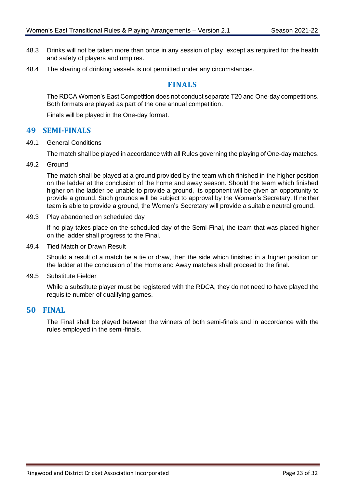- 48.3 Drinks will not be taken more than once in any session of play, except as required for the health and safety of players and umpires.
- <span id="page-26-0"></span>48.4 The sharing of drinking vessels is not permitted under any circumstances.

## **FINALS**

The RDCA Women's East Competition does not conduct separate T20 and One-day competitions. Both formats are played as part of the one annual competition.

Finals will be played in the One-day format.

#### <span id="page-26-1"></span>**49 SEMI-FINALS**

49.1 General Conditions

The match shall be played in accordance with all Rules governing the playing of One-day matches.

<span id="page-26-4"></span>49.2 Ground

The match shall be played at a ground provided by the team which finished in the higher position on the ladder at the conclusion of the home and away season. Should the team which finished higher on the ladder be unable to provide a ground, its opponent will be given an opportunity to provide a ground. Such grounds will be subject to approval by the Women's Secretary. If neither team is able to provide a ground, the Women's Secretary will provide a suitable neutral ground.

49.3 Play abandoned on scheduled day

If no play takes place on the scheduled day of the Semi-Final, the team that was placed higher on the ladder shall progress to the Final.

49.4 Tied Match or Drawn Result

Should a result of a match be a tie or draw, then the side which finished in a higher position on the ladder at the conclusion of the Home and Away matches shall proceed to the final.

49.5 Substitute Fielder

While a substitute player must be registered with the RDCA, they do not need to have played the requisite number of qualifying games.

#### <span id="page-26-2"></span>**50 FINAL**

<span id="page-26-3"></span>The Final shall be played between the winners of both semi-finals and in accordance with the rules employed in the semi-finals.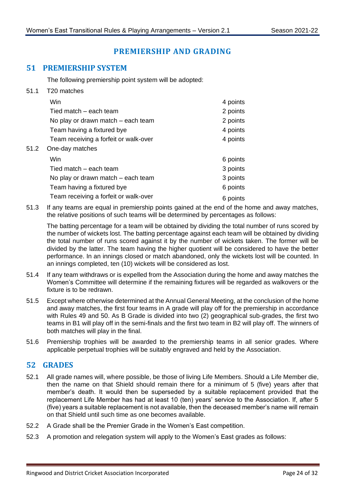# **PREMIERSHIP AND GRADING**

#### <span id="page-27-0"></span>**51 PREMIERSHIP SYSTEM**

The following premiership point system will be adopted:

- 51.1 T20 matches Win 4 points Tied match – each team 2 points No play or drawn match – each team 2 points Team having a fixtured bye 4 points Team receiving a forfeit or walk-over **4** points 51.2 One-day matches Win 6 points Tied match – each team 3 points No play or drawn match  $-$  each team  $3$  points Team having a fixtured bye 6 points Team receiving a forfeit or walk-over **6** points
- 51.3 If any teams are equal in premiership points gained at the end of the home and away matches, the relative positions of such teams will be determined by percentages as follows:

The batting percentage for a team will be obtained by dividing the total number of runs scored by the number of wickets lost. The batting percentage against each team will be obtained by dividing the total number of runs scored against it by the number of wickets taken. The former will be divided by the latter. The team having the higher quotient will be considered to have the better performance. In an innings closed or match abandoned, only the wickets lost will be counted. In an innings completed, ten (10) wickets will be considered as lost.

- 51.4 If any team withdraws or is expelled from the Association during the home and away matches the Women's Committee will determine if the remaining fixtures will be regarded as walkovers or the fixture is to be redrawn.
- 51.5 Except where otherwise determined at the Annual General Meeting, at the conclusion of the home and away matches, the first four teams in A grade will play off for the premiership in accordance with Rules [49](#page-26-1) and [50.](#page-26-2) As B Grade is divided into two (2) geographical sub-grades, the first two teams in B1 will play off in the semi-finals and the first two team in B2 will play off. The winners of both matches will play in the final.
- 51.6 Premiership trophies will be awarded to the premiership teams in all senior grades. Where applicable perpetual trophies will be suitably engraved and held by the Association.

#### <span id="page-27-1"></span>**52 GRADES**

- 52.1 All grade names will, where possible, be those of living Life Members. Should a Life Member die, then the name on that Shield should remain there for a minimum of 5 (five) years after that member's death. It would then be superseded by a suitable replacement provided that the replacement Life Member has had at least 10 (ten) years' service to the Association. If, after 5 (five) years a suitable replacement is not available, then the deceased member's name will remain on that Shield until such time as one becomes available.
- 52.2 A Grade shall be the Premier Grade in the Women's East competition.
- 52.3 A promotion and relegation system will apply to the Women's East grades as follows: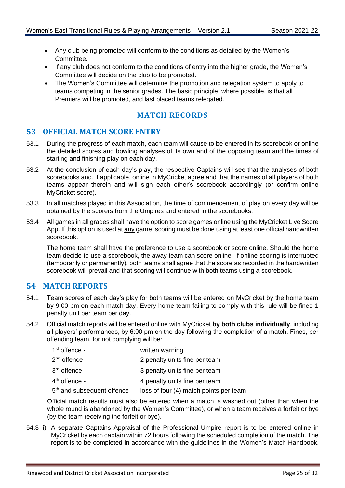- Any club being promoted will conform to the conditions as detailed by the Women's Committee.
- If any club does not conform to the conditions of entry into the higher grade, the Women's Committee will decide on the club to be promoted.
- The Women's Committee will determine the promotion and relegation system to apply to teams competing in the senior grades. The basic principle, where possible, is that all Premiers will be promoted, and last placed teams relegated.

# **MATCH RECORDS**

#### <span id="page-28-1"></span><span id="page-28-0"></span>**53 OFFICIAL MATCH SCORE ENTRY**

- 53.1 During the progress of each match, each team will cause to be entered in its scorebook or online the detailed scores and bowling analyses of its own and of the opposing team and the times of starting and finishing play on each day.
- 53.2 At the conclusion of each day's play, the respective Captains will see that the analyses of both scorebooks and, if applicable, online in MyCricket agree and that the names of all players of both teams appear therein and will sign each other's scorebook accordingly (or confirm online MyCricket score).
- 53.3 In all matches played in this Association, the time of commencement of play on every day will be obtained by the scorers from the Umpires and entered in the scorebooks.
- 53.4 All games in all grades shall have the option to score games online using the MyCricket Live Score App. If this option is used at any game, scoring must be done using at least one official handwritten scorebook.

The home team shall have the preference to use a scorebook or score online. Should the home team decide to use a scorebook, the away team can score online. If online scoring is interrupted (temporarily or permanently), both teams shall agree that the score as recorded in the handwritten scorebook will prevail and that scoring will continue with both teams using a scorebook.

#### <span id="page-28-2"></span>**54 MATCH REPORTS**

- 54.1 Team scores of each day's play for both teams will be entered on MyCricket by the home team by 9:00 pm on each match day. Every home team failing to comply with this rule will be fined 1 penalty unit per team per day.
- 54.2 Official match reports will be entered online with MyCricket **by both clubs individually**, including all players' performances, by 6:00 pm on the day following the completion of a match. Fines, per offending team, for not complying will be:

| $1st$ offence -                          | written warning                        |
|------------------------------------------|----------------------------------------|
| 2 <sup>nd</sup> offence -                | 2 penalty units fine per team          |
| 3 <sup>rd</sup> offence -                | 3 penalty units fine per team          |
| 4 <sup>th</sup> offence -                | 4 penalty units fine per team          |
| 5 <sup>th</sup> and subsequent offence - | loss of four (4) match points per team |

Official match results must also be entered when a match is washed out (other than when the whole round is abandoned by the Women's Committee), or when a team receives a forfeit or bye (by the team receiving the forfeit or bye).

<span id="page-28-3"></span>54.3 i) A separate Captains Appraisal of the Professional Umpire report is to be entered online in MyCricket by each captain within 72 hours following the scheduled completion of the match. The report is to be completed in accordance with the guidelines in the Women's Match Handbook.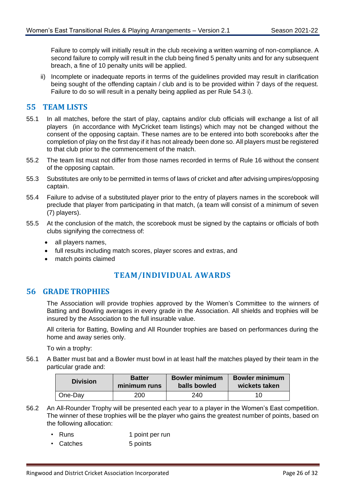Failure to comply will initially result in the club receiving a written warning of non-compliance. A second failure to comply will result in the club being fined 5 penalty units and for any subsequent breach, a fine of 10 penalty units will be applied.

ii) Incomplete or inadequate reports in terms of the guidelines provided may result in clarification being sought of the offending captain / club and is to be provided within 7 days of the request. Failure to do so will result in a penalty being applied as per Rule [54.3](#page-28-3) i).

#### <span id="page-29-0"></span>**55 TEAM LISTS**

- 55.1 In all matches, before the start of play, captains and/or club officials will exchange a list of all players (in accordance with MyCricket team listings) which may not be changed without the consent of the opposing captain. These names are to be entered into both scorebooks after the completion of play on the first day if it has not already been done so. All players must be registered to that club prior to the commencement of the match.
- 55.2 The team list must not differ from those names recorded in terms of Rule [16](#page-12-2) without the consent of the opposing captain.
- 55.3 Substitutes are only to be permitted in terms of laws of cricket and after advising umpires/opposing captain.
- 55.4 Failure to advise of a substituted player prior to the entry of players names in the scorebook will preclude that player from participating in that match, (a team will consist of a minimum of seven (7) players).
- 55.5 At the conclusion of the match, the scorebook must be signed by the captains or officials of both clubs signifying the correctness of:
	- all players names,
	- full results including match scores, player scores and extras, and
	- match points claimed

#### **TEAM/INDIVIDUAL AWARDS**

#### <span id="page-29-2"></span><span id="page-29-1"></span>**56 GRADE TROPHIES**

The Association will provide trophies approved by the Women's Committee to the winners of Batting and Bowling averages in every grade in the Association. All shields and trophies will be insured by the Association to the full insurable value.

All criteria for Batting, Bowling and All Rounder trophies are based on performances during the home and away series only.

To win a trophy:

<span id="page-29-3"></span>56.1 A Batter must bat and a Bowler must bowl in at least half the matches played by their team in the particular grade and:

| <b>Division</b> | <b>Batter</b> | <b>Bowler minimum</b> | <b>Bowler minimum</b> |
|-----------------|---------------|-----------------------|-----------------------|
|                 | minimum runs  | balls bowled          | wickets taken         |
| One-Day         | 200           | 240                   | 10                    |

- 56.2 An All-Rounder Trophy will be presented each year to a player in the Women's East competition. The winner of these trophies will be the player who gains the greatest number of points, based on the following allocation:
	- Runs 1 point per run
	- Catches 5 points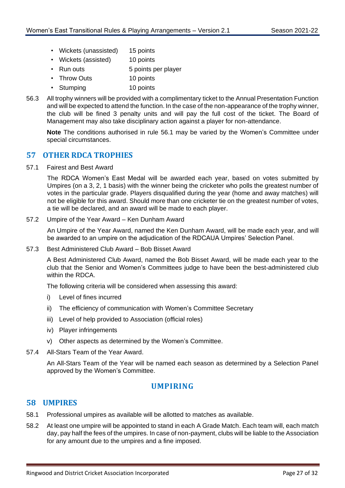- Wickets (unassisted) 15 points
- Wickets (assisted) 10 points
- Run outs 5 points per player
- Throw Outs 10 points
- Stumping 10 points
- 56.3 All trophy winners will be provided with a complimentary ticket to the Annual Presentation Function and will be expected to attend the function. In the case of the non-appearance of the trophy winner, the club will be fined 3 penalty units and will pay the full cost of the ticket. The Board of Management may also take disciplinary action against a player for non-attendance.

**Note** The conditions authorised in rule [56.1](#page-29-3) may be varied by the Women's Committee under special circumstances.

#### <span id="page-30-0"></span>**57 OTHER RDCA TROPHIES**

57.1 Fairest and Best Award

The RDCA Women's East Medal will be awarded each year, based on votes submitted by Umpires (on a 3, 2, 1 basis) with the winner being the cricketer who polls the greatest number of votes in the particular grade. Players disqualified during the year (home and away matches) will not be eligible for this award. Should more than one cricketer tie on the greatest number of votes, a tie will be declared, and an award will be made to each player.

#### 57.2 Umpire of the Year Award – Ken Dunham Award

An Umpire of the Year Award, named the Ken Dunham Award, will be made each year, and will be awarded to an umpire on the adjudication of the RDCAUA Umpires' Selection Panel.

57.3 Best Administered Club Award – Bob Bisset Award

A Best Administered Club Award, named the Bob Bisset Award, will be made each year to the club that the Senior and Women's Committees judge to have been the best-administered club within the RDCA.

The following criteria will be considered when assessing this award:

- i) Level of fines incurred
- ii) The efficiency of communication with Women's Committee Secretary
- iii) Level of help provided to Association (official roles)
- iv) Player infringements
- v) Other aspects as determined by the Women's Committee.
- 57.4 All-Stars Team of the Year Award.

An All-Stars Team of the Year will be named each season as determined by a Selection Panel approved by the Women's Committee.

#### **UMPIRING**

#### <span id="page-30-2"></span><span id="page-30-1"></span>**58 UMPIRES**

- 58.1 Professional umpires as available will be allotted to matches as available.
- 58.2 At least one umpire will be appointed to stand in each A Grade Match. Each team will, each match day, pay half the fees of the umpires. In case of non-payment, clubs will be liable to the Association for any amount due to the umpires and a fine imposed.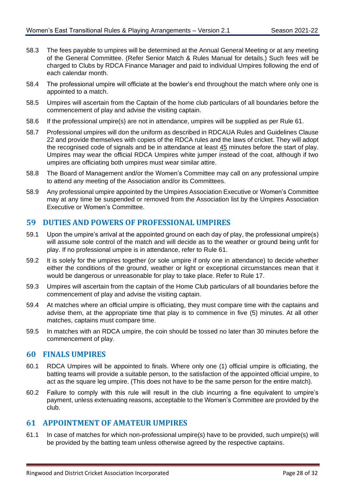- 58.3 The fees payable to umpires will be determined at the Annual General Meeting or at any meeting of the General Committee. (Refer Senior Match & Rules Manual for details.) Such fees will be charged to Clubs by RDCA Finance Manager and paid to individual Umpires following the end of each calendar month.
- 58.4 The professional umpire will officiate at the bowler's end throughout the match where only one is appointed to a match.
- 58.5 Umpires will ascertain from the Captain of the home club particulars of all boundaries before the commencement of play and advise the visiting captain.
- 58.6 If the professional umpire(s) are not in attendance, umpires will be supplied as per Rule [61.](#page-31-2)
- <span id="page-31-3"></span>58.7 Professional umpires will don the uniform as described in RDCAUA Rules and Guidelines Clause 22 and provide themselves with copies of the RDCA rules and the laws of cricket. They will adopt the recognised code of signals and be in attendance at least 45 minutes before the start of play. Umpires may wear the official RDCA Umpires white jumper instead of the coat, although if two umpires are officiating both umpires must wear similar attire.
- 58.8 The Board of Management and/or the Women's Committee may call on any professional umpire to attend any meeting of the Association and/or its Committees.
- 58.9 Any professional umpire appointed by the Umpires Association Executive or Women's Committee may at any time be suspended or removed from the Association list by the Umpires Association Executive or Women's Committee.

#### <span id="page-31-0"></span>**59 DUTIES AND POWERS OF PROFESSIONAL UMPIRES**

- 59.1 Upon the umpire's arrival at the appointed ground on each day of play, the professional umpire(s) will assume sole control of the match and will decide as to the weather or ground being unfit for play. If no professional umpire is in attendance, refer to Rule [61.](#page-31-2)
- 59.2 It is solely for the umpires together (or sole umpire if only one in attendance) to decide whether either the conditions of the ground, weather or light or exceptional circumstances mean that it would be dangerous or unreasonable for play to take place. Refer to Rule [17.](#page-13-1)
- 59.3 Umpires will ascertain from the captain of the Home Club particulars of all boundaries before the commencement of play and advise the visiting captain.
- 59.4 At matches where an official umpire is officiating, they must compare time with the captains and advise them, at the appropriate time that play is to commence in five (5) minutes. At all other matches, captains must compare time.
- 59.5 In matches with an RDCA umpire, the coin should be tossed no later than 30 minutes before the commencement of play.

#### <span id="page-31-1"></span>**60 FINALS UMPIRES**

- 60.1 RDCA Umpires will be appointed to finals. Where only one (1) official umpire is officiating, the batting teams will provide a suitable person, to the satisfaction of the appointed official umpire, to act as the square leg umpire. (This does not have to be the same person for the entire match).
- 60.2 Failure to comply with this rule will result in the club incurring a fine equivalent to umpire's payment, unless extenuating reasons, acceptable to the Women's Committee are provided by the club.

#### <span id="page-31-2"></span>**61 APPOINTMENT OF AMATEUR UMPIRES**

61.1 In case of matches for which non-professional umpire(s) have to be provided, such umpire(s) will be provided by the batting team unless otherwise agreed by the respective captains.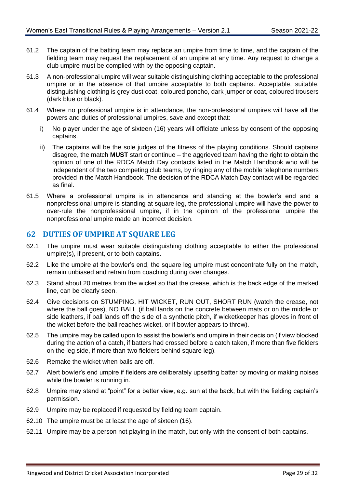- 61.2 The captain of the batting team may replace an umpire from time to time, and the captain of the fielding team may request the replacement of an umpire at any time. Any request to change a club umpire must be complied with by the opposing captain.
- 61.3 A non-professional umpire will wear suitable distinguishing clothing acceptable to the professional umpire or in the absence of that umpire acceptable to both captains. Acceptable, suitable, distinguishing clothing is grey dust coat, coloured poncho, dark jumper or coat, coloured trousers (dark blue or black).
- <span id="page-32-1"></span>61.4 Where no professional umpire is in attendance, the non-professional umpires will have all the powers and duties of professional umpires, save and except that:
	- i) No player under the age of sixteen (16) years will officiate unless by consent of the opposing captains.
	- ii) The captains will be the sole judges of the fitness of the playing conditions. Should captains disagree, the match **MUST** start or continue – the aggrieved team having the right to obtain the opinion of one of the RDCA Match Day contacts listed in the Match Handbook who will be independent of the two competing club teams, by ringing any of the mobile telephone numbers provided in the Match Handbook. The decision of the RDCA Match Day contact will be regarded as final.
- 61.5 Where a professional umpire is in attendance and standing at the bowler's end and a nonprofessional umpire is standing at square leg, the professional umpire will have the power to over-rule the nonprofessional umpire, if in the opinion of the professional umpire the nonprofessional umpire made an incorrect decision.

#### <span id="page-32-0"></span>**62 DUTIES OF UMPIRE AT SQUARE LEG**

- 62.1 The umpire must wear suitable distinguishing clothing acceptable to either the professional umpire(s), if present, or to both captains.
- 62.2 Like the umpire at the bowler's end, the square leg umpire must concentrate fully on the match, remain unbiased and refrain from coaching during over changes.
- 62.3 Stand about 20 metres from the wicket so that the crease, which is the back edge of the marked line, can be clearly seen.
- 62.4 Give decisions on STUMPING, HIT WICKET, RUN OUT, SHORT RUN (watch the crease, not where the ball goes), NO BALL (if ball lands on the concrete between mats or on the middle or side leathers, if ball lands off the side of a synthetic pitch, if wicketkeeper has gloves in front of the wicket before the ball reaches wicket, or if bowler appears to throw).
- 62.5 The umpire may be called upon to assist the bowler's end umpire in their decision (if view blocked during the action of a catch, if batters had crossed before a catch taken, if more than five fielders on the leg side, if more than two fielders behind square leg).
- 62.6 Remake the wicket when bails are off.
- 62.7 Alert bowler's end umpire if fielders are deliberately upsetting batter by moving or making noises while the bowler is running in.
- 62.8 Umpire may stand at "point" for a better view, e.g. sun at the back, but with the fielding captain's permission.
- 62.9 Umpire may be replaced if requested by fielding team captain.
- 62.10 The umpire must be at least the age of sixteen (16).
- 62.11 Umpire may be a person not playing in the match, but only with the consent of both captains.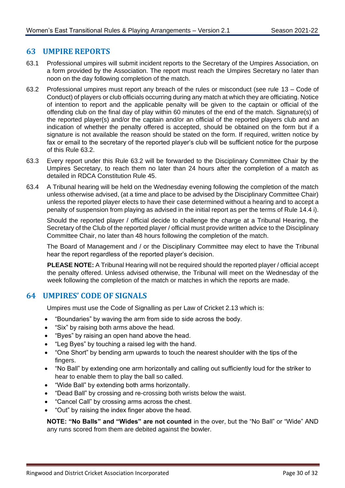#### <span id="page-33-0"></span>**63 UMPIRE REPORTS**

- 63.1 Professional umpires will submit incident reports to the Secretary of the Umpires Association, on a form provided by the Association. The report must reach the Umpires Secretary no later than noon on the day following completion of the match.
- <span id="page-33-2"></span>63.2 Professional umpires must report any breach of the rules or misconduct (see rule [13](#page-9-2) – Code of Conduct) of players or club officials occurring during any match at which they are officiating. Notice of intention to report and the applicable penalty will be given to the captain or official of the offending club on the final day of play within 60 minutes of the end of the match. Signature(s) of the reported player(s) and/or the captain and/or an official of the reported players club and an indication of whether the penalty offered is accepted, should be obtained on the form but if a signature is not available the reason should be stated on the form. If required, written notice by fax or email to the secretary of the reported player's club will be sufficient notice for the purpose of this Rule [63.2.](#page-33-2)
- 63.3 Every report under this Rule [63.2](#page-33-2) will be forwarded to the Disciplinary Committee Chair by the Umpires Secretary, to reach them no later than 24 hours after the completion of a match as detailed in RDCA Constitution Rule 45.
- 63.4 A Tribunal hearing will be held on the Wednesday evening following the completion of the match unless otherwise advised, (at a time and place to be advised by the Disciplinary Committee Chair) unless the reported player elects to have their case determined without a hearing and to accept a penalty of suspension from playing as advised in the initial report as per the terms of Rule [14.4](#page-10-1) i).

Should the reported player / official decide to challenge the charge at a Tribunal Hearing, the Secretary of the Club of the reported player / official must provide written advice to the Disciplinary Committee Chair, no later than 48 hours following the completion of the match.

The Board of Management and / or the Disciplinary Committee may elect to have the Tribunal hear the report regardless of the reported player's decision.

**PLEASE NOTE:** A Tribunal Hearing will not be required should the reported player / official accept the penalty offered. Unless advised otherwise, the Tribunal will meet on the Wednesday of the week following the completion of the match or matches in which the reports are made.

#### <span id="page-33-1"></span>**64 UMPIRES' CODE OF SIGNALS**

Umpires must use the Code of Signalling as per Law of Cricket 2.13 which is:

- "Boundaries" by waving the arm from side to side across the body.
- "Six" by raising both arms above the head.
- "Byes" by raising an open hand above the head.
- "Leg Byes" by touching a raised leg with the hand.
- "One Short" by bending arm upwards to touch the nearest shoulder with the tips of the fingers.
- "No Ball" by extending one arm horizontally and calling out sufficiently loud for the striker to hear to enable them to play the ball so called.
- "Wide Ball" by extending both arms horizontally.
- "Dead Ball" by crossing and re-crossing both wrists below the waist.
- "Cancel Call" by crossing arms across the chest.
- "Out" by raising the index finger above the head.

**NOTE: "No Balls" and "Wides" are not counted** in the over, but the "No Ball" or "Wide" AND any runs scored from them are debited against the bowler.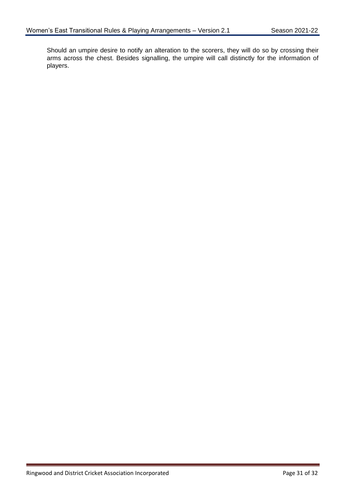Should an umpire desire to notify an alteration to the scorers, they will do so by crossing their arms across the chest. Besides signalling, the umpire will call distinctly for the information of players.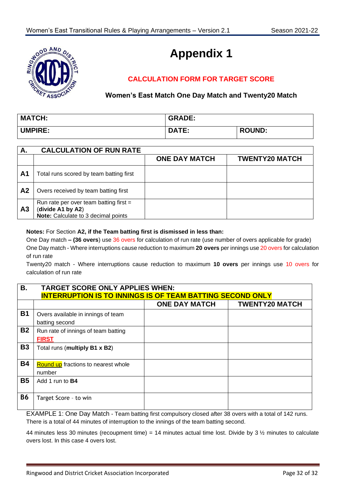

# **Appendix 1**

# **CALCULATION FORM FOR TARGET SCORE**

#### **Women's East Match One Day Match and Twenty20 Match**

| <b>MATCH:</b>  | <b>GRADE:</b> |               |
|----------------|---------------|---------------|
| <b>UMPIRE:</b> | <b>DATE:</b>  | <b>ROUND:</b> |

| А.             | <b>CALCULATION OF RUN RATE</b>                                                                       |                      |                       |
|----------------|------------------------------------------------------------------------------------------------------|----------------------|-----------------------|
|                |                                                                                                      | <b>ONE DAY MATCH</b> | <b>TWENTY20 MATCH</b> |
| A <sub>1</sub> | Total runs scored by team batting first                                                              |                      |                       |
| A <sub>2</sub> | Overs received by team batting first                                                                 |                      |                       |
| A <sub>3</sub> | Run rate per over team batting first $=$<br>(divide A1 by A2)<br>Note: Calculate to 3 decimal points |                      |                       |

#### **Notes:** For Section **A2, if the Team batting first is dismissed in less than:**

One Day match **– (36 overs**) use 36 overs for calculation of run rate (use number of overs applicable for grade) One Day match - Where interruptions cause reduction to maximum **20 overs** per innings use 20 overs for calculation of run rate

Twenty20 match - Where interruptions cause reduction to maximum **10 overs** per innings use 10 overs for calculation of run rate

| В.        | <b>TARGET SCORE ONLY APPLIES WHEN:</b>                           |                      |                       |
|-----------|------------------------------------------------------------------|----------------------|-----------------------|
|           | <b>INTERRUPTION IS TO INNINGS IS OF TEAM BATTING SECOND ONLY</b> |                      |                       |
|           |                                                                  | <b>ONE DAY MATCH</b> | <b>TWENTY20 MATCH</b> |
| <b>B1</b> | Overs available in innings of team<br>batting second             |                      |                       |
| <b>B2</b> | Run rate of innings of team batting<br><b>FIRST</b>              |                      |                       |
| <b>B3</b> | Total runs (multiply B1 x B2)                                    |                      |                       |
| <b>B4</b> | <b>Round up</b> fractions to nearest whole<br>number             |                      |                       |
| <b>B5</b> | Add 1 run to <b>B4</b>                                           |                      |                       |
| <b>B6</b> | Target Score - to win                                            |                      |                       |

EXAMPLE 1: One Day Match - Team batting first compulsory closed after 38 overs with a total of 142 runs. There is a total of 44 minutes of interruption to the innings of the team batting second.

44 minutes less 30 minutes (recoupment time) = 14 minutes actual time lost. Divide by 3  $\frac{1}{2}$  minutes to calculate overs lost. In this case 4 overs lost.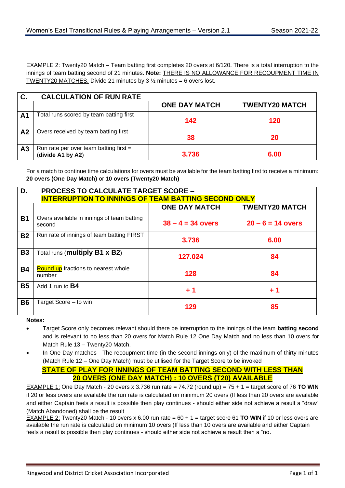EXAMPLE 2: Twenty20 Match – Team batting first completes 20 overs at 6/120. There is a total interruption to the innings of team batting second of 21 minutes. **Note:** THERE IS NO ALLOWANCE FOR RECOUPMENT TIME IN TWENTY20 MATCHES. Divide 21 minutes by 3  $\frac{1}{2}$  minutes = 6 overs lost.

| C.             | <b>CALCULATION OF RUN RATE</b>                                |                      |                       |
|----------------|---------------------------------------------------------------|----------------------|-----------------------|
|                |                                                               | <b>ONE DAY MATCH</b> | <b>TWENTY20 MATCH</b> |
| A <sub>1</sub> | Total runs scored by team batting first                       | 142                  | 120                   |
| A <sub>2</sub> | Overs received by team batting first                          | 38                   | 20                    |
| A <sub>3</sub> | Run rate per over team batting first $=$<br>(divide A1 by A2) | 3.736                | 6.00                  |

For a match to continue time calculations for overs must be available for the team batting first to receive a minimum: **20 overs (One Day Match)** or **10 overs (Twenty20 Match)**

| D.        | <b>PROCESS TO CALCULATE TARGET SCORE -</b>                 |                      |                       |
|-----------|------------------------------------------------------------|----------------------|-----------------------|
|           | <b>INTERRUPTION TO INNINGS OF TEAM BATTING SECOND ONLY</b> |                      |                       |
|           |                                                            | <b>ONE DAY MATCH</b> | <b>TWENTY20 MATCH</b> |
| <b>B1</b> | Overs available in innings of team batting<br>second       | $38 - 4 = 34$ overs  | $20 - 6 = 14$ overs   |
| <b>B2</b> | Run rate of innings of team batting <b>FIRST</b>           | 3.736                | 6.00                  |
| <b>B3</b> | Total runs (multiply B1 x B2)                              | 127.024              | 84                    |
| <b>B4</b> | <b>Round up</b> fractions to nearest whole<br>number       | 128                  | 84                    |
| <b>B5</b> | Add 1 run to <b>B4</b>                                     | $+1$                 | $+1$                  |
| <b>B6</b> | Target Score - to win                                      | 129                  | 85                    |

**Notes:** 

- Target Score only becomes relevant should there be interruption to the innings of the team **batting second** and is relevant to no less than 20 overs for Match Rule 12 One Day Match and no less than 10 overs for Match Rule 13 – Twenty20 Match.
- In One Day matches The recoupment time (in the second innings only) of the maximum of thirty minutes (Match Rule 12 – One Day Match) must be utilised for the Target Score to be invoked

#### **STATE OF PLAY FOR INNINGS OF TEAM BATTING SECOND WITH LESS THAN 20 OVERS (ONE DAY MATCH) : 10 OVERS (T20) AVAILABLE**

EXAMPLE 1: One Day Match - 20 overs x 3.736 run rate = 74.72 (round up) = 75 + 1 = target score of 76 **TO WIN** if 20 or less overs are available the run rate is calculated on minimum 20 overs (If less than 20 overs are available and either Captain feels a result is possible then play continues - should either side not achieve a result a "draw" (Match Abandoned) shall be the result

EXAMPLE 2: Twenty20 Match - 10 overs x 6.00 run rate =  $60 + 1$  = target score 61 **TO WIN** if 10 or less overs are available the run rate is calculated on minimum 10 overs (If less than 10 overs are available and either Captain feels a result is possible then play continues - should either side not achieve a result then a "no.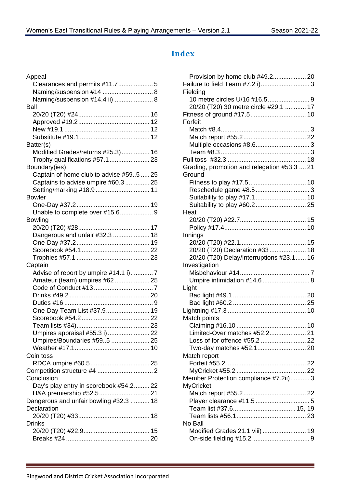# <span id="page-37-0"></span>**Index**

| Appeal                                  |
|-----------------------------------------|
| Clearances and permits #11.75           |
| Naming/suspension #14  8                |
| Naming/suspension #14.4 ii)  8          |
| Ball                                    |
|                                         |
|                                         |
|                                         |
|                                         |
| Batter(s)                               |
| Modified Grades/returns #25.3) 16       |
| Trophy qualifications #57.1  23         |
| Boundary(ies)                           |
| Captain of home club to advise #595  25 |
| Captains to advise umpire #60.3  25     |
|                                         |
| <b>Bowler</b>                           |
|                                         |
| Unable to complete over #15.6 9         |
| <b>Bowling</b>                          |
|                                         |
| Dangerous and unfair #32.3  18          |
|                                         |
|                                         |
|                                         |
|                                         |
|                                         |
| Captain                                 |
| Advise of report by umpire #14.1 i)7    |
| Amateur (team) umpires #62 25           |
|                                         |
|                                         |
|                                         |
| One-Day Team List #37.9 19              |
|                                         |
|                                         |
|                                         |
| Umpires/Boundaries #595  25             |
|                                         |
| Coin toss                               |
|                                         |
|                                         |
| Conclusion                              |
| Day's play entry in scorebook #54.2 22  |
|                                         |
| Dangerous and unfair bowling #32.3  18  |
| Declaration                             |
|                                         |
| <b>Drinks</b>                           |
|                                         |

| Provision by home club #49.2 20             |  |
|---------------------------------------------|--|
| Failure to field Team #7.2 i) 3             |  |
| Fielding                                    |  |
|                                             |  |
| 20/20 (T20) 30 metre circle #29.1  17       |  |
|                                             |  |
| Forfeit                                     |  |
|                                             |  |
|                                             |  |
|                                             |  |
|                                             |  |
|                                             |  |
|                                             |  |
| Grading, promotion and relegation #53.3  21 |  |
| Ground                                      |  |
|                                             |  |
|                                             |  |
| Suitability to play #17.1  10               |  |
|                                             |  |
| Heat                                        |  |
|                                             |  |
|                                             |  |
| Innings                                     |  |
|                                             |  |
| 20/20 (T20) Declaration #33 18              |  |
| 20/20 (T20) Delay/Interruptions #23.1 16    |  |
| Investigation                               |  |
|                                             |  |
|                                             |  |
| Umpire intimidation #14.6  8                |  |
| Light                                       |  |
|                                             |  |
|                                             |  |
|                                             |  |
| Match points                                |  |
|                                             |  |
| Limited-Over matches #52.2 21               |  |
|                                             |  |
|                                             |  |
| Match report                                |  |
|                                             |  |
|                                             |  |
| Member Protection compliance #7.2ii) 3      |  |
| <b>MyCricket</b>                            |  |
|                                             |  |
|                                             |  |
|                                             |  |
|                                             |  |
|                                             |  |
| No Ball                                     |  |
| Modified Grades 21.1 viii)  19              |  |
|                                             |  |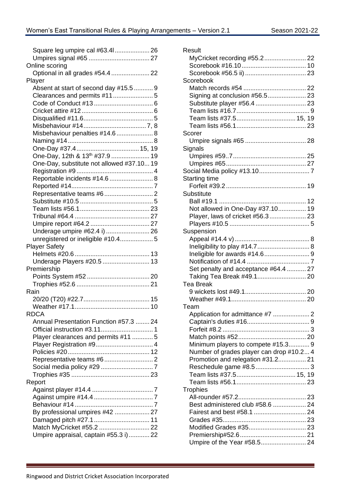| Square leg umpire cal #63.41 26            |  |
|--------------------------------------------|--|
| Online scoring                             |  |
| Optional in all grades #54.4  22           |  |
| Player                                     |  |
| Absent at start of second day #15.5  9     |  |
|                                            |  |
|                                            |  |
|                                            |  |
|                                            |  |
| Misbehaviour penalties #14.6  8            |  |
|                                            |  |
|                                            |  |
| One-Day, 12th & 13 <sup>th</sup> #37.9  19 |  |
| One-Day, substitute not allowed #37.10 19  |  |
|                                            |  |
| Reportable incidents #14.6  8              |  |
|                                            |  |
|                                            |  |
|                                            |  |
|                                            |  |
|                                            |  |
|                                            |  |
| Underage umpire #62.4 i)  26               |  |
| unregistered or ineligible #10.4 5         |  |
|                                            |  |
| <b>Player Safety</b>                       |  |
|                                            |  |
| Underage Players #20.5  13                 |  |
| Premiership                                |  |
|                                            |  |
|                                            |  |
| Rain                                       |  |
|                                            |  |
|                                            |  |
| <b>RDCA</b>                                |  |
| Annual Presentation Function #57.3  24     |  |
|                                            |  |
| Player clearances and permits #11  5       |  |
|                                            |  |
|                                            |  |
|                                            |  |
|                                            |  |
| Report                                     |  |
|                                            |  |
|                                            |  |
|                                            |  |
| By professional umpires #42  27            |  |
|                                            |  |
| Umpire appraisal, captain #55.3 i) 22      |  |

| Result                                   |  |
|------------------------------------------|--|
|                                          |  |
|                                          |  |
|                                          |  |
| Scorebook                                |  |
|                                          |  |
| Signing at conclusion #56.5 23           |  |
|                                          |  |
|                                          |  |
| Team lists #37.5 15, 19                  |  |
|                                          |  |
| Scorer                                   |  |
|                                          |  |
|                                          |  |
| Signals                                  |  |
|                                          |  |
|                                          |  |
|                                          |  |
| Starting time                            |  |
|                                          |  |
| Substitute                               |  |
|                                          |  |
| Not allowed in One-Day #37.10 19         |  |
| Player, laws of cricket #56.3 23         |  |
|                                          |  |
| Suspension                               |  |
|                                          |  |
| Ineligibility to play #14.7 8            |  |
|                                          |  |
|                                          |  |
| Set penalty and acceptance #64.4  27     |  |
| Taking Tea Break #49.1 20                |  |
| <b>Tea Break</b>                         |  |
|                                          |  |
|                                          |  |
| ı eam                                    |  |
| Application for admittance #7  2         |  |
|                                          |  |
|                                          |  |
|                                          |  |
| Minimum players to compete #15.3 9       |  |
| Number of grades player can drop #10.2 4 |  |
| Promotion and relegation #31.2 21        |  |
|                                          |  |
| Team lists #37.5 15, 19                  |  |
|                                          |  |
|                                          |  |
| <b>Trophies</b>                          |  |
| Best administered club #58.6  24         |  |
|                                          |  |
|                                          |  |
|                                          |  |
|                                          |  |
|                                          |  |
|                                          |  |